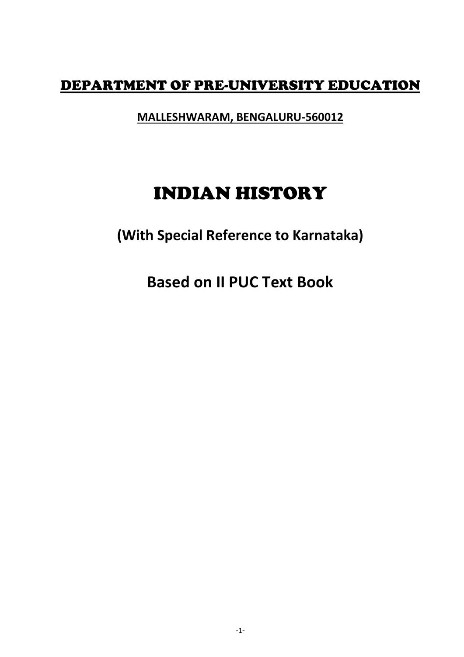# DEPARTMENT OF PRE-UNIVERSITY EDUCATION

**MALLESHWARAM, BENGALURU-560012**

# INDIAN HISTORY

**(With Special Reference to Karnataka)**

**Based on II PUC Text Book**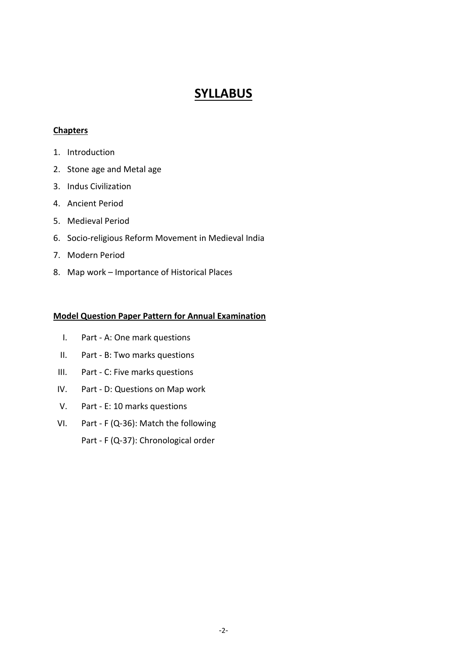# **SYLLABUS**

## **Chapters**

- 1. Introduction
- 2. Stone age and Metal age
- 3. Indus Civilization
- 4. Ancient Period
- 5. Medieval Period
- 6. Socio-religious Reform Movement in Medieval India
- 7. Modern Period
- 8. Map work Importance of Historical Places

## **Model Question Paper Pattern for Annual Examination**

- I. Part A: One mark questions
- II. Part B: Two marks questions
- III. Part C: Five marks questions
- IV. Part D: Questions on Map work
- V. Part E: 10 marks questions
- VI. Part F (Q-36): Match the following

Part - F (Q-37): Chronological order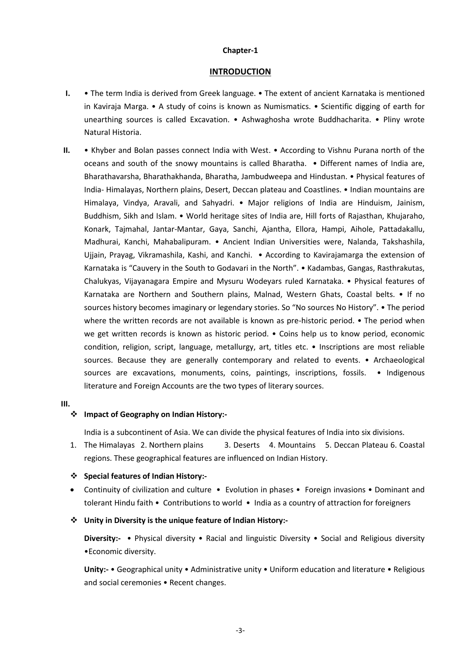#### **Chapter-1**

## **INTRODUCTION**

- **I.** The term India is derived from Greek language. The extent of ancient Karnataka is mentioned in Kaviraja Marga. • A study of coins is known as Numismatics. • Scientific digging of earth for unearthing sources is called Excavation. • Ashwaghosha wrote Buddhacharita. • Pliny wrote Natural Historia.
- **II.** Khyber and Bolan passes connect India with West. According to Vishnu Purana north of the oceans and south of the snowy mountains is called Bharatha. • Different names of India are, Bharathavarsha, Bharathakhanda, Bharatha, Jambudweepa and Hindustan. • Physical features of India- Himalayas, Northern plains, Desert, Deccan plateau and Coastlines. • Indian mountains are Himalaya, Vindya, Aravali, and Sahyadri. • Major religions of India are Hinduism, Jainism, Buddhism, Sikh and Islam. • World heritage sites of India are, Hill forts of Rajasthan, Khujaraho, Konark, Tajmahal, Jantar-Mantar, Gaya, Sanchi, Ajantha, Ellora, Hampi, Aihole, Pattadakallu, Madhurai, Kanchi, Mahabalipuram. • Ancient Indian Universities were, Nalanda, Takshashila, Ujjain, Prayag, Vikramashila, Kashi, and Kanchi. • According to Kavirajamarga the extension of Karnataka is "Cauvery in the South to Godavari in the North". • Kadambas, Gangas, Rasthrakutas, Chalukyas, Vijayanagara Empire and Mysuru Wodeyars ruled Karnataka. • Physical features of Karnataka are Northern and Southern plains, Malnad, Western Ghats, Coastal belts. • If no sources history becomes imaginary or legendary stories. So "No sources No History". • The period where the written records are not available is known as pre-historic period. • The period when we get written records is known as historic period. • Coins help us to know period, economic condition, religion, script, language, metallurgy, art, titles etc. • Inscriptions are most reliable sources. Because they are generally contemporary and related to events. • Archaeological sources are excavations, monuments, coins, paintings, inscriptions, fossils. • Indigenous literature and Foreign Accounts are the two types of literary sources.

#### **III.**

## **Impact of Geography on Indian History:-**

India is a subcontinent of Asia. We can divide the physical features of India into six divisions.

1. The Himalayas 2. Northern plains 3. Deserts 4. Mountains 5. Deccan Plateau 6. Coastal regions. These geographical features are influenced on Indian History.

## **Special features of Indian History:-**

• Continuity of civilization and culture • Evolution in phases • Foreign invasions • Dominant and tolerant Hindu faith • Contributions to world • India as a country of attraction for foreigners

## **Unity in Diversity is the unique feature of Indian History:-**

**Diversity:-** • Physical diversity • Racial and linguistic Diversity • Social and Religious diversity •Economic diversity.

**Unity:-** • Geographical unity • Administrative unity • Uniform education and literature • Religious and social ceremonies • Recent changes.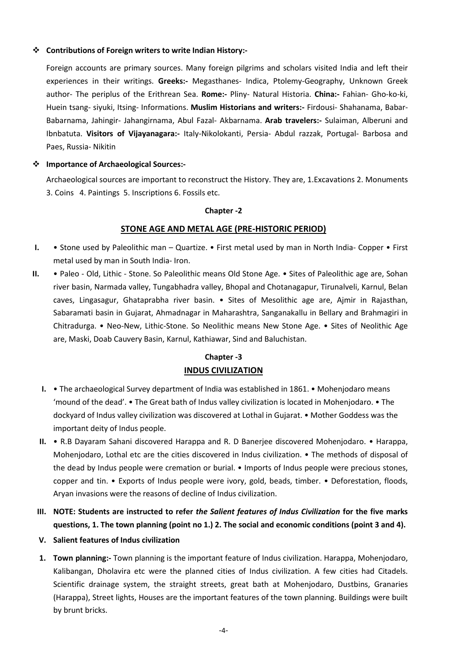## **Contributions of Foreign writers to write Indian History:-**

Foreign accounts are primary sources. Many foreign pilgrims and scholars visited India and left their experiences in their writings. **Greeks:-** Megasthanes- Indica, Ptolemy-Geography, Unknown Greek author- The periplus of the Erithrean Sea. **Rome:-** Pliny- Natural Historia. **China:-** Fahian- Gho-ko-ki, Huein tsang- siyuki, Itsing- Informations. **Muslim Historians and writers:-** Firdousi- Shahanama, Babar-Babarnama, Jahingir- Jahangirnama, Abul Fazal- Akbarnama. **Arab travelers:-** Sulaiman, Alberuni and Ibnbatuta. **Visitors of Vijayanagara:-** Italy-Nikolokanti, Persia- Abdul razzak, Portugal- Barbosa and Paes, Russia- Nikitin

## **Importance of Archaeological Sources:-**

Archaeological sources are important to reconstruct the History. They are, 1.Excavations 2. Monuments 3. Coins 4. Paintings 5. Inscriptions 6. Fossils etc.

#### **Chapter -2**

## **STONE AGE AND METAL AGE (PRE-HISTORIC PERIOD)**

- **I.** Stone used by Paleolithic man Quartize. First metal used by man in North India- Copper First metal used by man in South India- Iron.
- **II.** Paleo Old, Lithic Stone. So Paleolithic means Old Stone Age. Sites of Paleolithic age are, Sohan river basin, Narmada valley, Tungabhadra valley, Bhopal and Chotanagapur, Tirunalveli, Karnul, Belan caves, Lingasagur, Ghataprabha river basin. • Sites of Mesolithic age are, Ajmir in Rajasthan, Sabaramati basin in Gujarat, Ahmadnagar in Maharashtra, Sanganakallu in Bellary and Brahmagiri in Chitradurga. • Neo-New, Lithic-Stone. So Neolithic means New Stone Age. • Sites of Neolithic Age are, Maski, Doab Cauvery Basin, Karnul, Kathiawar, Sind and Baluchistan.

## **Chapter -3 INDUS CIVILIZATION**

- **I.** The archaeological Survey department of India was established in 1861. Mohenjodaro means 'mound of the dead'. • The Great bath of Indus valley civilization is located in Mohenjodaro. • The dockyard of Indus valley civilization was discovered at Lothal in Gujarat. • Mother Goddess was the important deity of Indus people.
- **II.** R.B Dayaram Sahani discovered Harappa and R. D Banerjee discovered Mohenjodaro. Harappa, Mohenjodaro, Lothal etc are the cities discovered in Indus civilization. • The methods of disposal of the dead by Indus people were cremation or burial. • Imports of Indus people were precious stones, copper and tin. • Exports of Indus people were ivory, gold, beads, timber. • Deforestation, floods, Aryan invasions were the reasons of decline of Indus civilization.
- **III. NOTE: Students are instructed to refer** *the Salient features of Indus Civilization* **for the five marks questions, 1. The town planning (point no 1.) 2. The social and economic conditions (point 3 and 4).**
- **V. Salient features of Indus civilization**
- **1. Town planning:-** Town planning is the important feature of Indus civilization. Harappa, Mohenjodaro, Kalibangan, Dholavira etc were the planned cities of Indus civilization. A few cities had Citadels. Scientific drainage system, the straight streets, great bath at Mohenjodaro, Dustbins, Granaries (Harappa), Street lights, Houses are the important features of the town planning. Buildings were built by brunt bricks.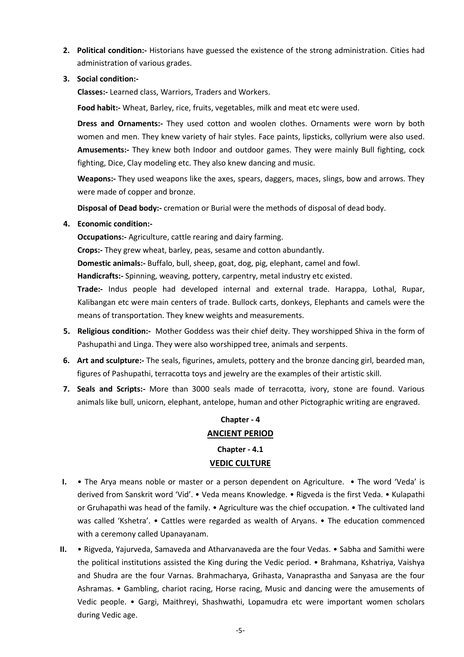**2. Political condition:-** Historians have guessed the existence of the strong administration. Cities had administration of various grades.

## **3. Social condition:-**

**Classes:-** Learned class, Warriors, Traders and Workers.

**Food habit:-** Wheat, Barley, rice, fruits, vegetables, milk and meat etc were used.

**Dress and Ornaments:-** They used cotton and woolen clothes. Ornaments were worn by both women and men. They knew variety of hair styles. Face paints, lipsticks, collyrium were also used. **Amusements:-** They knew both Indoor and outdoor games. They were mainly Bull fighting, cock fighting, Dice, Clay modeling etc. They also knew dancing and music.

**Weapons:-** They used weapons like the axes, spears, daggers, maces, slings, bow and arrows. They were made of copper and bronze.

**Disposal of Dead body:-** cremation or Burial were the methods of disposal of dead body.

## **4. Economic condition:-**

**Occupations:-** Agriculture, cattle rearing and dairy farming. **Crops:-** They grew wheat, barley, peas, sesame and cotton abundantly. **Domestic animals:-** Buffalo, bull, sheep, goat, dog, pig, elephant, camel and fowl. **Handicrafts:-** Spinning, weaving, pottery, carpentry, metal industry etc existed. **Trade:-** Indus people had developed internal and external trade. Harappa, Lothal, Rupar, Kalibangan etc were main centers of trade. Bullock carts, donkeys, Elephants and camels were the means of transportation. They knew weights and measurements.

- **5. Religious condition:-** Mother Goddess was their chief deity. They worshipped Shiva in the form of Pashupathi and Linga. They were also worshipped tree, animals and serpents.
- **6. Art and sculpture:-** The seals, figurines, amulets, pottery and the bronze dancing girl, bearded man, figures of Pashupathi, terracotta toys and jewelry are the examples of their artistic skill.
- **7. Seals and Scripts:-** More than 3000 seals made of terracotta, ivory, stone are found. Various animals like bull, unicorn, elephant, antelope, human and other Pictographic writing are engraved.

## **Chapter - 4 ANCIENT PERIOD Chapter - 4.1 VEDIC CULTURE**

- **I.** The Arya means noble or master or a person dependent on Agriculture. The word 'Veda' is derived from Sanskrit word 'Vid'. • Veda means Knowledge. • Rigveda is the first Veda. • Kulapathi or Gruhapathi was head of the family. • Agriculture was the chief occupation. • The cultivated land was called 'Kshetra'. • Cattles were regarded as wealth of Aryans. • The education commenced with a ceremony called Upanayanam.
- **II.** Rigveda, Yajurveda, Samaveda and Atharvanaveda are the four Vedas. Sabha and Samithi were the political institutions assisted the King during the Vedic period. • Brahmana, Kshatriya, Vaishya and Shudra are the four Varnas. Brahmacharya, Grihasta, Vanaprastha and Sanyasa are the four Ashramas. • Gambling, chariot racing, Horse racing, Music and dancing were the amusements of Vedic people. • Gargi, Maithreyi, Shashwathi, Lopamudra etc were important women scholars during Vedic age.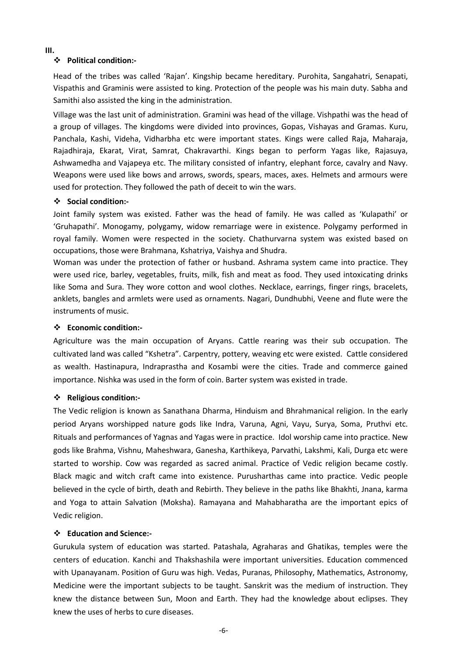#### **III.**

#### **Political condition:-**

Head of the tribes was called 'Rajan'. Kingship became hereditary. Purohita, Sangahatri, Senapati, Vispathis and Graminis were assisted to king. Protection of the people was his main duty. Sabha and Samithi also assisted the king in the administration.

Village was the last unit of administration. Gramini was head of the village. Vishpathi was the head of a group of villages. The kingdoms were divided into provinces, Gopas, Vishayas and Gramas. Kuru, Panchala, Kashi, Videha, Vidharbha etc were important states. Kings were called Raja, Maharaja, Rajadhiraja, Ekarat, Virat, Samrat, Chakravarthi. Kings began to perform Yagas like, Rajasuya, Ashwamedha and Vajapeya etc. The military consisted of infantry, elephant force, cavalry and Navy. Weapons were used like bows and arrows, swords, spears, maces, axes. Helmets and armours were used for protection. They followed the path of deceit to win the wars.

#### **Social condition:-**

Joint family system was existed. Father was the head of family. He was called as 'Kulapathi' or 'Gruhapathi'. Monogamy, polygamy, widow remarriage were in existence. Polygamy performed in royal family. Women were respected in the society. Chathurvarna system was existed based on occupations, those were Brahmana, Kshatriya, Vaishya and Shudra.

Woman was under the protection of father or husband. Ashrama system came into practice. They were used rice, barley, vegetables, fruits, milk, fish and meat as food. They used intoxicating drinks like Soma and Sura. They wore cotton and wool clothes. Necklace, earrings, finger rings, bracelets, anklets, bangles and armlets were used as ornaments. Nagari, Dundhubhi, Veene and flute were the instruments of music.

#### **Economic condition:-**

Agriculture was the main occupation of Aryans. Cattle rearing was their sub occupation. The cultivated land was called "Kshetra". Carpentry, pottery, weaving etc were existed. Cattle considered as wealth. Hastinapura, Indraprastha and Kosambi were the cities. Trade and commerce gained importance. Nishka was used in the form of coin. Barter system was existed in trade.

#### **Religious condition:-**

The Vedic religion is known as Sanathana Dharma, Hinduism and Bhrahmanical religion. In the early period Aryans worshipped nature gods like Indra, Varuna, Agni, Vayu, Surya, Soma, Pruthvi etc. Rituals and performances of Yagnas and Yagas were in practice. Idol worship came into practice. New gods like Brahma, Vishnu, Maheshwara, Ganesha, Karthikeya, Parvathi, Lakshmi, Kali, Durga etc were started to worship. Cow was regarded as sacred animal. Practice of Vedic religion became costly. Black magic and witch craft came into existence. Purusharthas came into practice. Vedic people believed in the cycle of birth, death and Rebirth. They believe in the paths like Bhakhti, Jnana, karma and Yoga to attain Salvation (Moksha). Ramayana and Mahabharatha are the important epics of Vedic religion.

## **Education and Science:-**

Gurukula system of education was started. Patashala, Agraharas and Ghatikas, temples were the centers of education. Kanchi and Thakshashila were important universities. Education commenced with Upanayanam. Position of Guru was high. Vedas, Puranas, Philosophy, Mathematics, Astronomy, Medicine were the important subjects to be taught. Sanskrit was the medium of instruction. They knew the distance between Sun, Moon and Earth. They had the knowledge about eclipses. They knew the uses of herbs to cure diseases.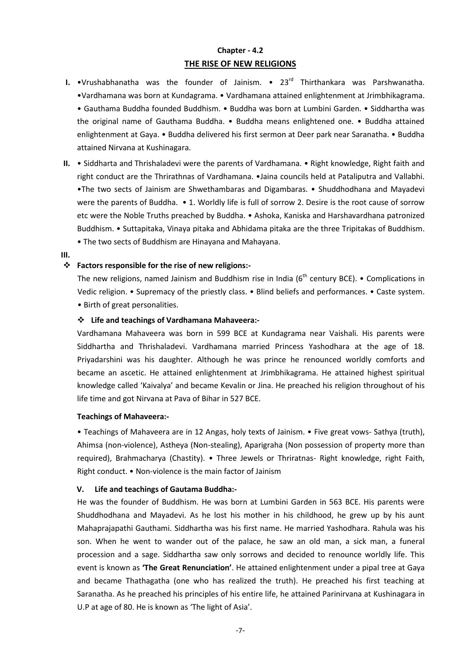## **Chapter - 4.2 THE RISE OF NEW RELIGIONS**

- **I.** •Vrushabhanatha was the founder of Jainism. 23<sup>rd</sup> Thirthankara was Parshwanatha. •Vardhamana was born at Kundagrama. • Vardhamana attained enlightenment at Jrimbhikagrama. • Gauthama Buddha founded Buddhism. • Buddha was born at Lumbini Garden. • Siddhartha was the original name of Gauthama Buddha. • Buddha means enlightened one. • Buddha attained enlightenment at Gaya. • Buddha delivered his first sermon at Deer park near Saranatha. • Buddha attained Nirvana at Kushinagara.
- **II.** Siddharta and Thrishaladevi were the parents of Vardhamana. Right knowledge, Right faith and right conduct are the Thrirathnas of Vardhamana. •Jaina councils held at Pataliputra and Vallabhi. •The two sects of Jainism are Shwethambaras and Digambaras. • Shuddhodhana and Mayadevi were the parents of Buddha. • 1. Worldly life is full of sorrow 2. Desire is the root cause of sorrow etc were the Noble Truths preached by Buddha. • Ashoka, Kaniska and Harshavardhana patronized Buddhism. • Suttapitaka, Vinaya pitaka and Abhidama pitaka are the three Tripitakas of Buddhism. • The two sects of Buddhism are Hinayana and Mahayana.

**III.**

## **Factors responsible for the rise of new religions:-**

The new religions, named Jainism and Buddhism rise in India ( $6<sup>th</sup>$  century BCE). • Complications in Vedic religion. • Supremacy of the priestly class. • Blind beliefs and performances. • Caste system. • Birth of great personalities.

### **Life and teachings of Vardhamana Mahaveera:-**

Vardhamana Mahaveera was born in 599 BCE at Kundagrama near Vaishali. His parents were Siddhartha and Thrishaladevi. Vardhamana married Princess Yashodhara at the age of 18. Priyadarshini was his daughter. Although he was prince he renounced worldly comforts and became an ascetic. He attained enlightenment at Jrimbhikagrama. He attained highest spiritual knowledge called 'Kaivalya' and became Kevalin or Jina. He preached his religion throughout of his life time and got Nirvana at Pava of Bihar in 527 BCE.

#### **Teachings of Mahaveera:-**

• Teachings of Mahaveera are in 12 Angas, holy texts of Jainism. • Five great vows- Sathya (truth), Ahimsa (non-violence), Astheya (Non-stealing), Aparigraha (Non possession of property more than required), Brahmacharya (Chastity). • Three Jewels or Thriratnas- Right knowledge, right Faith, Right conduct. • Non-violence is the main factor of Jainism

#### **V. Life and teachings of Gautama Buddha:-**

He was the founder of Buddhism. He was born at Lumbini Garden in 563 BCE. His parents were Shuddhodhana and Mayadevi. As he lost his mother in his childhood, he grew up by his aunt Mahaprajapathi Gauthami. Siddhartha was his first name. He married Yashodhara. Rahula was his son. When he went to wander out of the palace, he saw an old man, a sick man, a funeral procession and a sage. Siddhartha saw only sorrows and decided to renounce worldly life. This event is known as **'The Great Renunciation'**. He attained enlightenment under a pipal tree at Gaya and became Thathagatha (one who has realized the truth). He preached his first teaching at Saranatha. As he preached his principles of his entire life, he attained Parinirvana at Kushinagara in U.P at age of 80. He is known as 'The light of Asia'.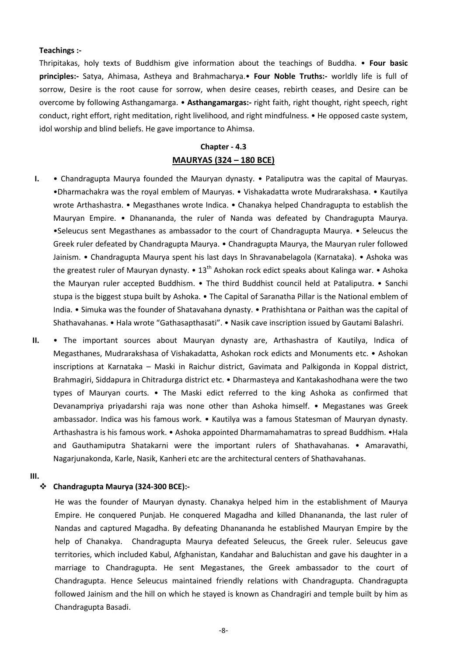#### **Teachings :-**

Thripitakas, holy texts of Buddhism give information about the teachings of Buddha. • **Four basic principles:-** Satya, Ahimasa, Astheya and Brahmacharya.• **Four Noble Truths:-** worldly life is full of sorrow, Desire is the root cause for sorrow, when desire ceases, rebirth ceases, and Desire can be overcome by following Asthangamarga. • **Asthangamargas:-** right faith, right thought, right speech, right conduct, right effort, right meditation, right livelihood, and right mindfulness. • He opposed caste system, idol worship and blind beliefs. He gave importance to Ahimsa.

#### **Chapter - 4.3**

#### **MAURYAS (324 – 180 BCE)**

- **I.** Chandragupta Maurya founded the Mauryan dynasty. Pataliputra was the capital of Mauryas. •Dharmachakra was the royal emblem of Mauryas. • Vishakadatta wrote Mudrarakshasa. • Kautilya wrote Arthashastra. • Megasthanes wrote Indica. • Chanakya helped Chandragupta to establish the Mauryan Empire. • Dhanananda, the ruler of Nanda was defeated by Chandragupta Maurya. •Seleucus sent Megasthanes as ambassador to the court of Chandragupta Maurya. • Seleucus the Greek ruler defeated by Chandragupta Maurya. • Chandragupta Maurya, the Mauryan ruler followed Jainism. • Chandragupta Maurya spent his last days In Shravanabelagola (Karnataka). • Ashoka was the greatest ruler of Mauryan dynasty. •  $13<sup>th</sup>$  Ashokan rock edict speaks about Kalinga war. • Ashoka the Mauryan ruler accepted Buddhism. • The third Buddhist council held at Pataliputra. • Sanchi stupa is the biggest stupa built by Ashoka. • The Capital of Saranatha Pillar is the National emblem of India. • Simuka was the founder of Shatavahana dynasty. • Prathishtana or Paithan was the capital of Shathavahanas. • Hala wrote "Gathasapthasati". • Nasik cave inscription issued by Gautami Balashri.
- **II.** The important sources about Mauryan dynasty are, Arthashastra of Kautilya, Indica of Megasthanes, Mudrarakshasa of Vishakadatta, Ashokan rock edicts and Monuments etc. • Ashokan inscriptions at Karnataka – Maski in Raichur district, Gavimata and Palkigonda in Koppal district, Brahmagiri, Siddapura in Chitradurga district etc. • Dharmasteya and Kantakashodhana were the two types of Mauryan courts. • The Maski edict referred to the king Ashoka as confirmed that Devanampriya priyadarshi raja was none other than Ashoka himself. • Megastanes was Greek ambassador. Indica was his famous work. • Kautilya was a famous Statesman of Mauryan dynasty. Arthashastra is his famous work. • Ashoka appointed Dharmamahamatras to spread Buddhism. •Hala and Gauthamiputra Shatakarni were the important rulers of Shathavahanas. • Amaravathi, Nagarjunakonda, Karle, Nasik, Kanheri etc are the architectural centers of Shathavahanas.
- **III.**

#### **Chandragupta Maurya (324-300 BCE):-**

He was the founder of Mauryan dynasty. Chanakya helped him in the establishment of Maurya Empire. He conquered Punjab. He conquered Magadha and killed Dhanananda, the last ruler of Nandas and captured Magadha. By defeating Dhanananda he established Mauryan Empire by the help of Chanakya. Chandragupta Maurya defeated Seleucus, the Greek ruler. Seleucus gave territories, which included Kabul, Afghanistan, Kandahar and Baluchistan and gave his daughter in a marriage to Chandragupta. He sent Megastanes, the Greek ambassador to the court of Chandragupta. Hence Seleucus maintained friendly relations with Chandragupta. Chandragupta followed Jainism and the hill on which he stayed is known as Chandragiri and temple built by him as Chandragupta Basadi.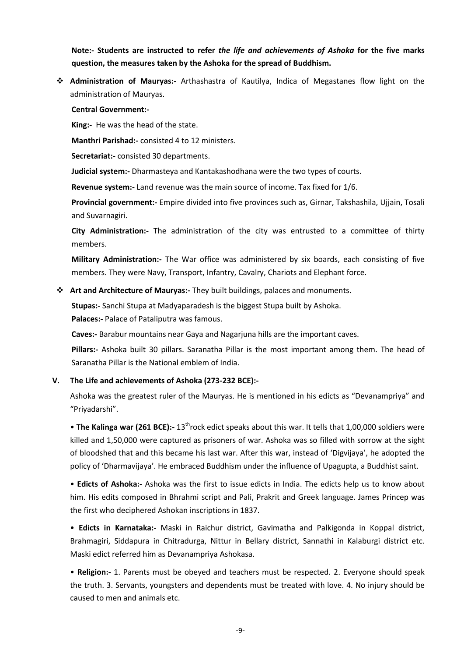**Note:- Students are instructed to refer** *the life and achievements of Ashoka* **for the five marks question, the measures taken by the Ashoka for the spread of Buddhism.** 

 **Administration of Mauryas:-** Arthashastra of Kautilya, Indica of Megastanes flow light on the administration of Mauryas.

#### **Central Government:-**

**King:-** He was the head of the state.

**Manthri Parishad:-** consisted 4 to 12 ministers.

**Secretariat:-** consisted 30 departments.

**Judicial system:-** Dharmasteya and Kantakashodhana were the two types of courts.

**Revenue system:-** Land revenue was the main source of income. Tax fixed for 1/6.

**Provincial government:-** Empire divided into five provinces such as, Girnar, Takshashila, Ujjain, Tosali and Suvarnagiri.

**City Administration:-** The administration of the city was entrusted to a committee of thirty members.

**Military Administration:-** The War office was administered by six boards, each consisting of five members. They were Navy, Transport, Infantry, Cavalry, Chariots and Elephant force.

## **Art and Architecture of Mauryas:-** They built buildings, palaces and monuments.

**Stupas:-** Sanchi Stupa at Madyaparadesh is the biggest Stupa built by Ashoka.

**Palaces:-** Palace of Pataliputra was famous.

**Caves:-** Barabur mountains near Gaya and Nagarjuna hills are the important caves.

**Pillars:-** Ashoka built 30 pillars. Saranatha Pillar is the most important among them. The head of Saranatha Pillar is the National emblem of India.

## **V. The Life and achievements of Ashoka (273-232 BCE):-**

Ashoka was the greatest ruler of the Mauryas. He is mentioned in his edicts as "Devanampriya" and "Priyadarshi".

• **The Kalinga war (261 BCE):-** 13<sup>th</sup>rock edict speaks about this war. It tells that 1,00,000 soldiers were killed and 1,50,000 were captured as prisoners of war. Ashoka was so filled with sorrow at the sight of bloodshed that and this became his last war. After this war, instead of 'Digvijaya', he adopted the policy of 'Dharmavijaya'. He embraced Buddhism under the influence of Upagupta, a Buddhist saint.

• **Edicts of Ashoka:-** Ashoka was the first to issue edicts in India. The edicts help us to know about him. His edits composed in Bhrahmi script and Pali, Prakrit and Greek language. James Princep was the first who deciphered Ashokan inscriptions in 1837.

• **Edicts in Karnataka:-** Maski in Raichur district, Gavimatha and Palkigonda in Koppal district, Brahmagiri, Siddapura in Chitradurga, Nittur in Bellary district, Sannathi in Kalaburgi district etc. Maski edict referred him as Devanampriya Ashokasa.

• **Religion:-** 1. Parents must be obeyed and teachers must be respected. 2. Everyone should speak the truth. 3. Servants, youngsters and dependents must be treated with love. 4. No injury should be caused to men and animals etc.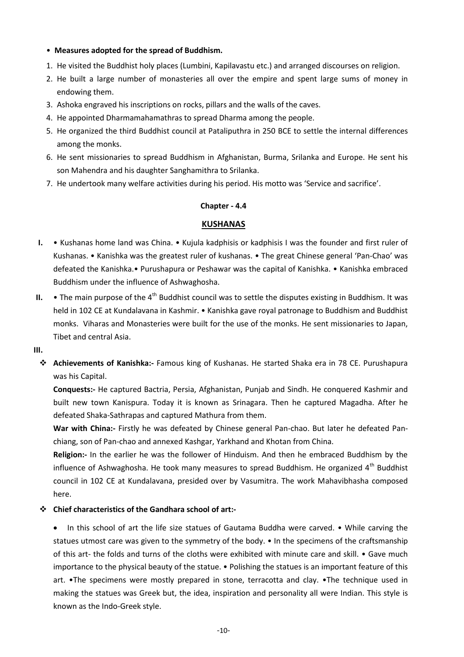## • **Measures adopted for the spread of Buddhism.**

- 1. He visited the Buddhist holy places (Lumbini, Kapilavastu etc.) and arranged discourses on religion.
- 2. He built a large number of monasteries all over the empire and spent large sums of money in endowing them.
- 3. Ashoka engraved his inscriptions on rocks, pillars and the walls of the caves.
- 4. He appointed Dharmamahamathras to spread Dharma among the people.
- 5. He organized the third Buddhist council at Pataliputhra in 250 BCE to settle the internal differences among the monks.
- 6. He sent missionaries to spread Buddhism in Afghanistan, Burma, Srilanka and Europe. He sent his son Mahendra and his daughter Sanghamithra to Srilanka.
- 7. He undertook many welfare activities during his period. His motto was 'Service and sacrifice'.

## **Chapter - 4.4**

## **KUSHANAS**

- **I.** Kushanas home land was China. Kujula kadphisis or kadphisis I was the founder and first ruler of Kushanas. • Kanishka was the greatest ruler of kushanas. • The great Chinese general 'Pan-Chao' was defeated the Kanishka.• Purushapura or Peshawar was the capital of Kanishka. • Kanishka embraced Buddhism under the influence of Ashwaghosha.
- **II.** The main purpose of the  $4<sup>th</sup>$  Buddhist council was to settle the disputes existing in Buddhism. It was held in 102 CE at Kundalavana in Kashmir. • Kanishka gave royal patronage to Buddhism and Buddhist monks. Viharas and Monasteries were built for the use of the monks. He sent missionaries to Japan, Tibet and central Asia.
- **III.**
	- **Achievements of Kanishka:-** Famous king of Kushanas. He started Shaka era in 78 CE. Purushapura was his Capital.

**Conquests:-** He captured Bactria, Persia, Afghanistan, Punjab and Sindh. He conquered Kashmir and built new town Kanispura. Today it is known as Srinagara. Then he captured Magadha. After he defeated Shaka-Sathrapas and captured Mathura from them.

**War with China:-** Firstly he was defeated by Chinese general Pan-chao. But later he defeated Panchiang, son of Pan-chao and annexed Kashgar, Yarkhand and Khotan from China.

**Religion:-** In the earlier he was the follower of Hinduism. And then he embraced Buddhism by the influence of Ashwaghosha. He took many measures to spread Buddhism. He organized  $4<sup>th</sup>$  Buddhist council in 102 CE at Kundalavana, presided over by Vasumitra. The work Mahavibhasha composed here.

## **Chief characteristics of the Gandhara school of art:-**

In this school of art the life size statues of Gautama Buddha were carved. • While carving the statues utmost care was given to the symmetry of the body. • In the specimens of the craftsmanship of this art- the folds and turns of the cloths were exhibited with minute care and skill. • Gave much importance to the physical beauty of the statue. • Polishing the statues is an important feature of this art. •The specimens were mostly prepared in stone, terracotta and clay. •The technique used in making the statues was Greek but, the idea, inspiration and personality all were Indian. This style is known as the Indo-Greek style.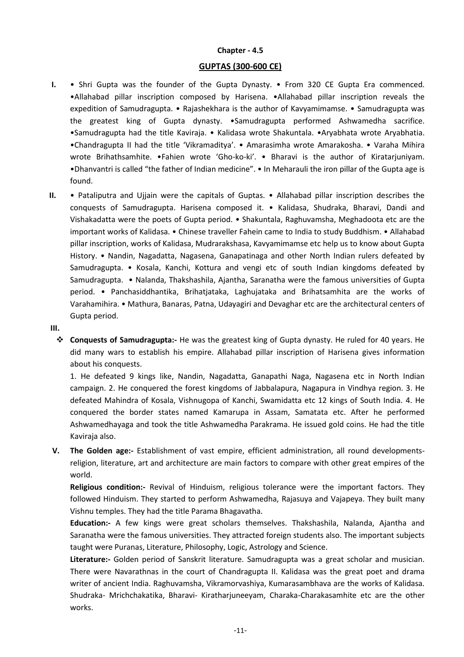#### **Chapter - 4.5**

### **GUPTAS (300-600 CE)**

- **I.** Shri Gupta was the founder of the Gupta Dynasty. From 320 CE Gupta Era commenced. •Allahabad pillar inscription composed by Harisena. •Allahabad pillar inscription reveals the expedition of Samudragupta. • Rajashekhara is the author of Kavyamimamse. • Samudragupta was the greatest king of Gupta dynasty. •Samudragupta performed Ashwamedha sacrifice. •Samudragupta had the title Kaviraja. • Kalidasa wrote Shakuntala. •Aryabhata wrote Aryabhatia. •Chandragupta II had the title 'Vikramaditya'. • Amarasimha wrote Amarakosha. • Varaha Mihira wrote Brihathsamhite. •Fahien wrote 'Gho-ko-ki'. • Bharavi is the author of Kiratarjuniyam. •Dhanvantri is called "the father of Indian medicine". • In Meharauli the iron pillar of the Gupta age is found.
- **II.** Pataliputra and Ujjain were the capitals of Guptas. Allahabad pillar inscription describes the conquests of Samudragupta. Harisena composed it. • Kalidasa, Shudraka, Bharavi, Dandi and Vishakadatta were the poets of Gupta period. • Shakuntala, Raghuvamsha, Meghadoota etc are the important works of Kalidasa. • Chinese traveller Fahein came to India to study Buddhism. • Allahabad pillar inscription, works of Kalidasa, Mudrarakshasa, Kavyamimamse etc help us to know about Gupta History. • Nandin, Nagadatta, Nagasena, Ganapatinaga and other North Indian rulers defeated by Samudragupta. • Kosala, Kanchi, Kottura and vengi etc of south Indian kingdoms defeated by Samudragupta. • Nalanda, Thakshashila, Ajantha, Saranatha were the famous universities of Gupta period. • Panchasiddhantika, Brihatjataka, Laghujataka and Brihatsamhita are the works of Varahamihira. • Mathura, Banaras, Patna, Udayagiri and Devaghar etc are the architectural centers of Gupta period.

## **III.**

 **Conquests of Samudragupta:-** He was the greatest king of Gupta dynasty. He ruled for 40 years. He did many wars to establish his empire. Allahabad pillar inscription of Harisena gives information about his conquests.

1. He defeated 9 kings like, Nandin, Nagadatta, Ganapathi Naga, Nagasena etc in North Indian campaign. 2. He conquered the forest kingdoms of Jabbalapura, Nagapura in Vindhya region. 3. He defeated Mahindra of Kosala, Vishnugopa of Kanchi, Swamidatta etc 12 kings of South India. 4. He conquered the border states named Kamarupa in Assam, Samatata etc. After he performed Ashwamedhayaga and took the title Ashwamedha Parakrama. He issued gold coins. He had the title Kaviraja also.

**V. The Golden age:-** Establishment of vast empire, efficient administration, all round developmentsreligion, literature, art and architecture are main factors to compare with other great empires of the world.

**Religious condition:-** Revival of Hinduism, religious tolerance were the important factors. They followed Hinduism. They started to perform Ashwamedha, Rajasuya and Vajapeya. They built many Vishnu temples. They had the title Parama Bhagavatha.

**Education:-** A few kings were great scholars themselves. Thakshashila, Nalanda, Ajantha and Saranatha were the famous universities. They attracted foreign students also. The important subjects taught were Puranas, Literature, Philosophy, Logic, Astrology and Science.

**Literature:-** Golden period of Sanskrit literature. Samudragupta was a great scholar and musician. There were Navarathnas in the court of Chandragupta II. Kalidasa was the great poet and drama writer of ancient India. Raghuvamsha, Vikramorvashiya, Kumarasambhava are the works of Kalidasa. Shudraka- Mrichchakatika, Bharavi- Kiratharjuneeyam, Charaka-Charakasamhite etc are the other works.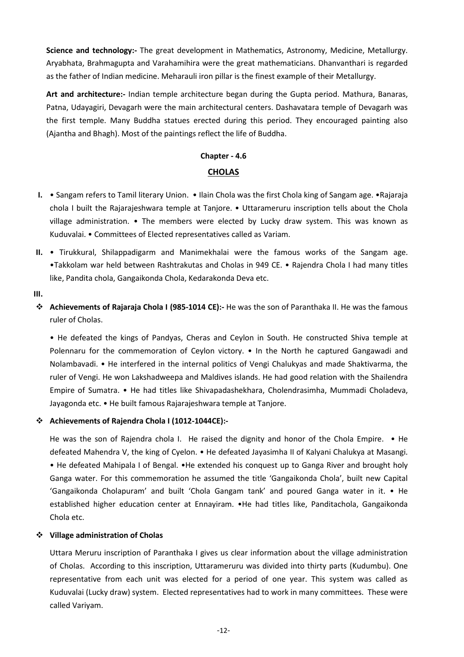**Science and technology:-** The great development in Mathematics, Astronomy, Medicine, Metallurgy. Aryabhata, Brahmagupta and Varahamihira were the great mathematicians. Dhanvanthari is regarded as the father of Indian medicine. Meharauli iron pillar is the finest example of their Metallurgy.

**Art and architecture:-** Indian temple architecture began during the Gupta period. Mathura, Banaras, Patna, Udayagiri, Devagarh were the main architectural centers. Dashavatara temple of Devagarh was the first temple. Many Buddha statues erected during this period. They encouraged painting also (Ajantha and Bhagh). Most of the paintings reflect the life of Buddha.

# **Chapter - 4.6**

## **CHOLAS**

- **I.** Sangam refers to Tamil literary Union. Ilain Chola was the first Chola king of Sangam age. •Rajaraja chola I built the Rajarajeshwara temple at Tanjore. • Uttarameruru inscription tells about the Chola village administration. • The members were elected by Lucky draw system. This was known as Kuduvalai. • Committees of Elected representatives called as Variam.
- **II.** Tirukkural, Shilappadigarm and Manimekhalai were the famous works of the Sangam age. •Takkolam war held between Rashtrakutas and Cholas in 949 CE. • Rajendra Chola I had many titles like, Pandita chola, Gangaikonda Chola, Kedarakonda Deva etc.

## **III.**

 **Achievements of Rajaraja Chola I (985-1014 CE):-** He was the son of Paranthaka II. He was the famous ruler of Cholas.

• He defeated the kings of Pandyas, Cheras and Ceylon in South. He constructed Shiva temple at Polennaru for the commemoration of Ceylon victory. • In the North he captured Gangawadi and Nolambavadi. • He interfered in the internal politics of Vengi Chalukyas and made Shaktivarma, the ruler of Vengi. He won Lakshadweepa and Maldives islands. He had good relation with the Shailendra Empire of Sumatra. • He had titles like Shivapadashekhara, Cholendrasimha, Mummadi Choladeva, Jayagonda etc. • He built famous Rajarajeshwara temple at Tanjore.

## **Achievements of Rajendra Chola I (1012-1044CE):-**

He was the son of Rajendra chola I. He raised the dignity and honor of the Chola Empire. • He defeated Mahendra V, the king of Cyelon. • He defeated Jayasimha II of Kalyani Chalukya at Masangi. • He defeated Mahipala I of Bengal. •He extended his conquest up to Ganga River and brought holy Ganga water. For this commemoration he assumed the title 'Gangaikonda Chola', built new Capital 'Gangaikonda Cholapuram' and built 'Chola Gangam tank' and poured Ganga water in it. • He established higher education center at Ennayiram. •He had titles like, Panditachola, Gangaikonda Chola etc.

## **Village administration of Cholas**

Uttara Meruru inscription of Paranthaka I gives us clear information about the village administration of Cholas. According to this inscription, Uttarameruru was divided into thirty parts (Kudumbu). One representative from each unit was elected for a period of one year. This system was called as Kuduvalai (Lucky draw) system. Elected representatives had to work in many committees. These were called Variyam.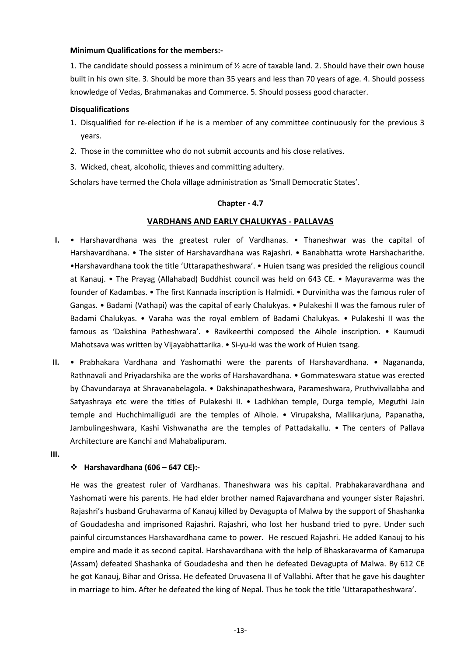## **Minimum Qualifications for the members:-**

1. The candidate should possess a minimum of ½ acre of taxable land. 2. Should have their own house built in his own site. 3. Should be more than 35 years and less than 70 years of age. 4. Should possess knowledge of Vedas, Brahmanakas and Commerce. 5. Should possess good character.

## **Disqualifications**

- 1. Disqualified for re-election if he is a member of any committee continuously for the previous 3 years.
- 2. Those in the committee who do not submit accounts and his close relatives.
- 3. Wicked, cheat, alcoholic, thieves and committing adultery.

Scholars have termed the Chola village administration as 'Small Democratic States'.

## **Chapter - 4.7**

## **VARDHANS AND EARLY CHALUKYAS - PALLAVAS**

- **I.** Harshavardhana was the greatest ruler of Vardhanas. Thaneshwar was the capital of Harshavardhana. • The sister of Harshavardhana was Rajashri. • Banabhatta wrote Harshacharithe. •Harshavardhana took the title 'Uttarapatheshwara'. • Huien tsang was presided the religious council at Kanauj. • The Prayag (Allahabad) Buddhist council was held on 643 CE. • Mayuravarma was the founder of Kadambas. • The first Kannada inscription is Halmidi. • Durvinitha was the famous ruler of Gangas. • Badami (Vathapi) was the capital of early Chalukyas. • Pulakeshi II was the famous ruler of Badami Chalukyas. • Varaha was the royal emblem of Badami Chalukyas. • Pulakeshi II was the famous as 'Dakshina Patheshwara'. • Ravikeerthi composed the Aihole inscription. • Kaumudi Mahotsava was written by Vijayabhattarika. • Si-yu-ki was the work of Huien tsang.
- **II.** Prabhakara Vardhana and Yashomathi were the parents of Harshavardhana. Nagananda, Rathnavali and Priyadarshika are the works of Harshavardhana. • Gommateswara statue was erected by Chavundaraya at Shravanabelagola. • Dakshinapatheshwara, Parameshwara, Pruthvivallabha and Satyashraya etc were the titles of Pulakeshi II. • Ladhkhan temple, Durga temple, Meguthi Jain temple and Huchchimalligudi are the temples of Aihole. • Virupaksha, Mallikarjuna, Papanatha, Jambulingeshwara, Kashi Vishwanatha are the temples of Pattadakallu. • The centers of Pallava Architecture are Kanchi and Mahabalipuram.
- **III.**

## **Harshavardhana (606 – 647 CE):-**

He was the greatest ruler of Vardhanas. Thaneshwara was his capital. Prabhakaravardhana and Yashomati were his parents. He had elder brother named Rajavardhana and younger sister Rajashri. Rajashri's husband Gruhavarma of Kanauj killed by Devagupta of Malwa by the support of Shashanka of Goudadesha and imprisoned Rajashri. Rajashri, who lost her husband tried to pyre. Under such painful circumstances Harshavardhana came to power. He rescued Rajashri. He added Kanauj to his empire and made it as second capital. Harshavardhana with the help of Bhaskaravarma of Kamarupa (Assam) defeated Shashanka of Goudadesha and then he defeated Devagupta of Malwa. By 612 CE he got Kanauj, Bihar and Orissa. He defeated Druvasena II of Vallabhi. After that he gave his daughter in marriage to him. After he defeated the king of Nepal. Thus he took the title 'Uttarapatheshwara'.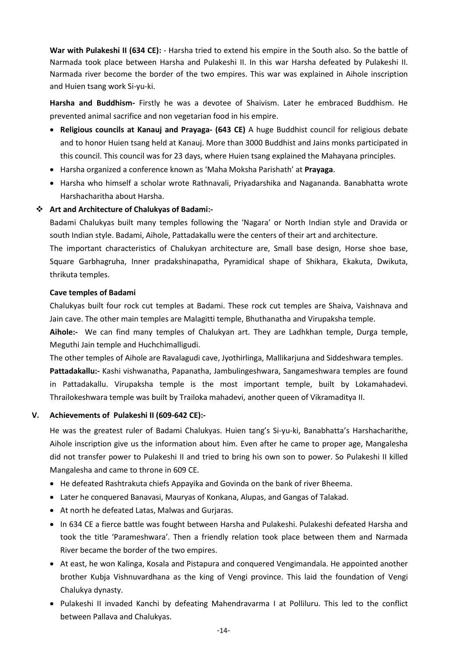**War with Pulakeshi II (634 CE):** - Harsha tried to extend his empire in the South also. So the battle of Narmada took place between Harsha and Pulakeshi II. In this war Harsha defeated by Pulakeshi II. Narmada river become the border of the two empires. This war was explained in Aihole inscription and Huien tsang work Si-yu-ki.

**Harsha and Buddhism-** Firstly he was a devotee of Shaivism. Later he embraced Buddhism. He prevented animal sacrifice and non vegetarian food in his empire.

- **Religious councils at Kanauj and Prayaga- (643 CE)** A huge Buddhist council for religious debate and to honor Huien tsang held at Kanauj. More than 3000 Buddhist and Jains monks participated in this council. This council was for 23 days, where Huien tsang explained the Mahayana principles.
- Harsha organized a conference known as 'Maha Moksha Parishath' at **Prayaga**.
- Harsha who himself a scholar wrote Rathnavali, Priyadarshika and Nagananda. Banabhatta wrote Harshacharitha about Harsha.

## **Art and Architecture of Chalukyas of Badami:-**

Badami Chalukyas built many temples following the 'Nagara' or North Indian style and Dravida or south Indian style. Badami, Aihole, Pattadakallu were the centers of their art and architecture.

The important characteristics of Chalukyan architecture are, Small base design, Horse shoe base, Square Garbhagruha, Inner pradakshinapatha, Pyramidical shape of Shikhara, Ekakuta, Dwikuta, thrikuta temples.

## **Cave temples of Badami**

Chalukyas built four rock cut temples at Badami. These rock cut temples are Shaiva, Vaishnava and Jain cave. The other main temples are Malagitti temple, Bhuthanatha and Virupaksha temple.

**Aihole:-** We can find many temples of Chalukyan art. They are Ladhkhan temple, Durga temple, Meguthi Jain temple and Huchchimalligudi.

The other temples of Aihole are Ravalagudi cave, Jyothirlinga, Mallikarjuna and Siddeshwara temples. **Pattadakallu:-** Kashi vishwanatha, Papanatha, Jambulingeshwara, Sangameshwara temples are found in Pattadakallu. Virupaksha temple is the most important temple, built by Lokamahadevi. Thrailokeshwara temple was built by Trailoka mahadevi, another queen of Vikramaditya II.

## **V. Achievements of Pulakeshi II (609-642 CE):-**

He was the greatest ruler of Badami Chalukyas. Huien tang's Si-yu-ki, Banabhatta's Harshacharithe, Aihole inscription give us the information about him. Even after he came to proper age, Mangalesha did not transfer power to Pulakeshi II and tried to bring his own son to power. So Pulakeshi II killed Mangalesha and came to throne in 609 CE.

- He defeated Rashtrakuta chiefs Appayika and Govinda on the bank of river Bheema.
- Later he conquered Banavasi, Mauryas of Konkana, Alupas, and Gangas of Talakad.
- At north he defeated Latas, Malwas and Gurjaras.
- In 634 CE a fierce battle was fought between Harsha and Pulakeshi. Pulakeshi defeated Harsha and took the title 'Parameshwara'. Then a friendly relation took place between them and Narmada River became the border of the two empires.
- At east, he won Kalinga, Kosala and Pistapura and conquered Vengimandala. He appointed another brother Kubja Vishnuvardhana as the king of Vengi province. This laid the foundation of Vengi Chalukya dynasty.
- Pulakeshi II invaded Kanchi by defeating Mahendravarma I at Polliluru. This led to the conflict between Pallava and Chalukyas.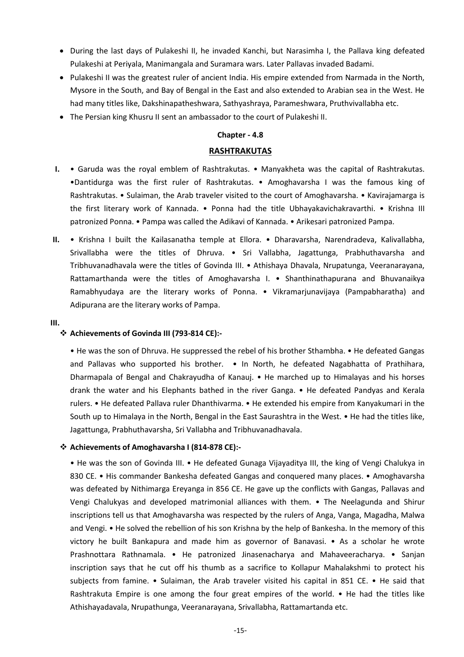- During the last days of Pulakeshi II, he invaded Kanchi, but Narasimha I, the Pallava king defeated Pulakeshi at Periyala, Manimangala and Suramara wars. Later Pallavas invaded Badami.
- Pulakeshi II was the greatest ruler of ancient India. His empire extended from Narmada in the North, Mysore in the South, and Bay of Bengal in the East and also extended to Arabian sea in the West. He had many titles like, Dakshinapatheshwara, Sathyashraya, Parameshwara, Pruthvivallabha etc.
- The Persian king Khusru II sent an ambassador to the court of Pulakeshi II.

#### **Chapter - 4.8**

#### **RASHTRAKUTAS**

- **I.** Garuda was the royal emblem of Rashtrakutas. Manyakheta was the capital of Rashtrakutas. •Dantidurga was the first ruler of Rashtrakutas. • Amoghavarsha I was the famous king of Rashtrakutas. • Sulaiman, the Arab traveler visited to the court of Amoghavarsha. • Kavirajamarga is the first literary work of Kannada. • Ponna had the title Ubhayakavichakravarthi. • Krishna III patronized Ponna. • Pampa was called the Adikavi of Kannada. • Arikesari patronized Pampa.
- **II.** Krishna I built the Kailasanatha temple at Ellora. Dharavarsha, Narendradeva, Kalivallabha, Srivallabha were the titles of Dhruva. • Sri Vallabha, Jagattunga, Prabhuthavarsha and Tribhuvanadhavala were the titles of Govinda III. • Athishaya Dhavala, Nrupatunga, Veeranarayana, Rattamarthanda were the titles of Amoghavarsha I. • Shanthinathapurana and Bhuvanaikya Ramabhyudaya are the literary works of Ponna. • Vikramarjunavijaya (Pampabharatha) and Adipurana are the literary works of Pampa.

#### **III.**

#### **Achievements of Govinda III (793-814 CE):-**

• He was the son of Dhruva. He suppressed the rebel of his brother Sthambha. • He defeated Gangas and Pallavas who supported his brother. • In North, he defeated Nagabhatta of Prathihara, Dharmapala of Bengal and Chakrayudha of Kanauj. • He marched up to Himalayas and his horses drank the water and his Elephants bathed in the river Ganga. • He defeated Pandyas and Kerala rulers. • He defeated Pallava ruler Dhanthivarma. • He extended his empire from Kanyakumari in the South up to Himalaya in the North, Bengal in the East Saurashtra in the West. • He had the titles like, Jagattunga, Prabhuthavarsha, Sri Vallabha and Tribhuvanadhavala.

#### **Achievements of Amoghavarsha I (814-878 CE):-**

• He was the son of Govinda III. • He defeated Gunaga Vijayaditya III, the king of Vengi Chalukya in 830 CE. • His commander Bankesha defeated Gangas and conquered many places. • Amoghavarsha was defeated by Nithimarga Ereyanga in 856 CE. He gave up the conflicts with Gangas, Pallavas and Vengi Chalukyas and developed matrimonial alliances with them. • The Neelagunda and Shirur inscriptions tell us that Amoghavarsha was respected by the rulers of Anga, Vanga, Magadha, Malwa and Vengi. • He solved the rebellion of his son Krishna by the help of Bankesha. In the memory of this victory he built Bankapura and made him as governor of Banavasi. • As a scholar he wrote Prashnottara Rathnamala. • He patronized Jinasenacharya and Mahaveeracharya. • Sanjan inscription says that he cut off his thumb as a sacrifice to Kollapur Mahalakshmi to protect his subjects from famine. • Sulaiman, the Arab traveler visited his capital in 851 CE. • He said that Rashtrakuta Empire is one among the four great empires of the world. • He had the titles like Athishayadavala, Nrupathunga, Veeranarayana, Srivallabha, Rattamartanda etc.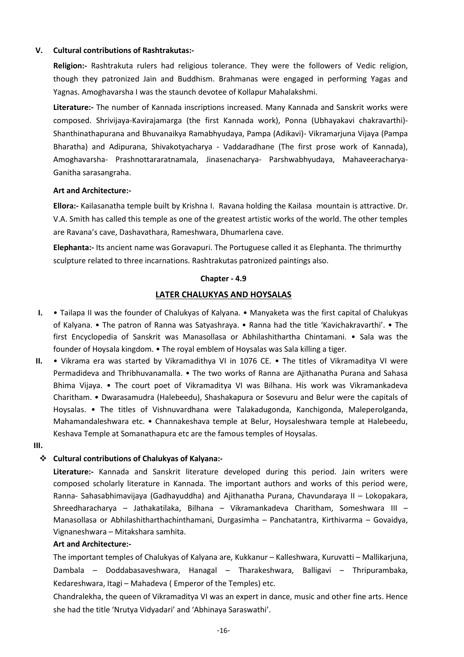## **V. Cultural contributions of Rashtrakutas:-**

**Religion:-** Rashtrakuta rulers had religious tolerance. They were the followers of Vedic religion, though they patronized Jain and Buddhism. Brahmanas were engaged in performing Yagas and Yagnas. Amoghavarsha I was the staunch devotee of Kollapur Mahalakshmi.

**Literature:-** The number of Kannada inscriptions increased. Many Kannada and Sanskrit works were composed. Shrivijaya-Kavirajamarga (the first Kannada work), Ponna (Ubhayakavi chakravarthi)- Shanthinathapurana and Bhuvanaikya Ramabhyudaya, Pampa (Adikavi)- Vikramarjuna Vijaya (Pampa Bharatha) and Adipurana, Shivakotyacharya - Vaddaradhane (The first prose work of Kannada), Amoghavarsha- Prashnottararatnamala, Jinasenacharya- Parshwabhyudaya, Mahaveeracharya-Ganitha sarasangraha.

## **Art and Architecture:-**

**Ellora:-** Kailasanatha temple built by Krishna I. Ravana holding the Kailasa mountain is attractive. Dr. V.A. Smith has called this temple as one of the greatest artistic works of the world. The other temples are Ravana's cave, Dashavathara, Rameshwara, Dhumarlena cave.

**Elephanta:-** Its ancient name was Goravapuri. The Portuguese called it as Elephanta. The thrimurthy sculpture related to three incarnations. Rashtrakutas patronized paintings also.

## **Chapter - 4.9**

## **LATER CHALUKYAS AND HOYSALAS**

- **I.** Tailapa II was the founder of Chalukyas of Kalyana. Manyaketa was the first capital of Chalukyas of Kalyana. • The patron of Ranna was Satyashraya. • Ranna had the title 'Kavichakravarthi'. • The first Encyclopedia of Sanskrit was Manasollasa or Abhilashithartha Chintamani. • Sala was the founder of Hoysala kingdom. • The royal emblem of Hoysalas was Sala killing a tiger.
- **II.** Vikrama era was started by Vikramadithya VI in 1076 CE. The titles of Vikramaditya VI were Permadideva and Thribhuvanamalla. • The two works of Ranna are Ajithanatha Purana and Sahasa Bhima Vijaya. • The court poet of Vikramaditya VI was Bilhana. His work was Vikramankadeva Charitham. • Dwarasamudra (Halebeedu), Shashakapura or Sosevuru and Belur were the capitals of Hoysalas. • The titles of Vishnuvardhana were Talakadugonda, Kanchigonda, Maleperolganda, Mahamandaleshwara etc. • Channakeshava temple at Belur, Hoysaleshwara temple at Halebeedu, Keshava Temple at Somanathapura etc are the famous temples of Hoysalas.
- **III.**

## **Cultural contributions of Chalukyas of Kalyana:-**

**Literature:-** Kannada and Sanskrit literature developed during this period. Jain writers were composed scholarly literature in Kannada. The important authors and works of this period were, Ranna- Sahasabhimavijaya (Gadhayuddha) and Ajithanatha Purana, Chavundaraya II – Lokopakara, Shreedharacharya – Jathakatilaka, Bilhana – Vikramankadeva Charitham, Someshwara III – Manasollasa or Abhilashitharthachinthamani, Durgasimha – Panchatantra, Kirthivarma – Govaidya, Vignaneshwara – Mitakshara samhita.

## **Art and Architecture:-**

The important temples of Chalukyas of Kalyana are, Kukkanur – Kalleshwara, Kuruvatti – Mallikarjuna, Dambala – Doddabasaveshwara, Hanagal – Tharakeshwara, Balligavi – Thripurambaka, Kedareshwara, Itagi – Mahadeva ( Emperor of the Temples) etc.

Chandralekha, the queen of Vikramaditya VI was an expert in dance, music and other fine arts. Hence she had the title 'Nrutya Vidyadari' and 'Abhinaya Saraswathi'.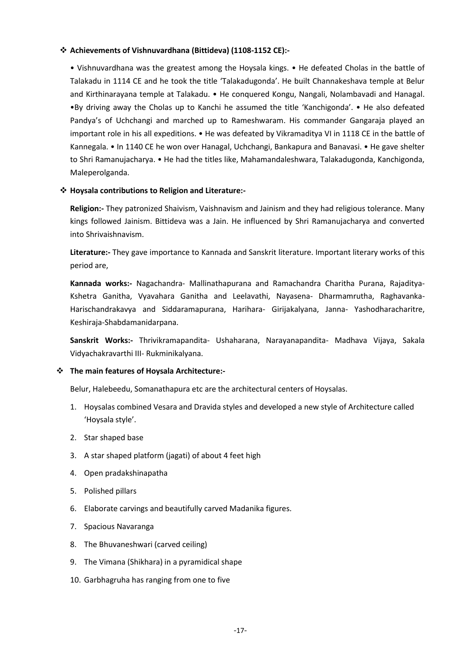## **Achievements of Vishnuvardhana (Bittideva) (1108-1152 CE):-**

• Vishnuvardhana was the greatest among the Hoysala kings. • He defeated Cholas in the battle of Talakadu in 1114 CE and he took the title 'Talakadugonda'. He built Channakeshava temple at Belur and Kirthinarayana temple at Talakadu. • He conquered Kongu, Nangali, Nolambavadi and Hanagal. •By driving away the Cholas up to Kanchi he assumed the title 'Kanchigonda'. • He also defeated Pandya's of Uchchangi and marched up to Rameshwaram. His commander Gangaraja played an important role in his all expeditions. • He was defeated by Vikramaditya VI in 1118 CE in the battle of Kannegala. • In 1140 CE he won over Hanagal, Uchchangi, Bankapura and Banavasi. • He gave shelter to Shri Ramanujacharya. • He had the titles like, Mahamandaleshwara, Talakadugonda, Kanchigonda, Maleperolganda.

## **Hoysala contributions to Religion and Literature:-**

**Religion:-** They patronized Shaivism, Vaishnavism and Jainism and they had religious tolerance. Many kings followed Jainism. Bittideva was a Jain. He influenced by Shri Ramanujacharya and converted into Shrivaishnavism.

**Literature:-** They gave importance to Kannada and Sanskrit literature. Important literary works of this period are,

**Kannada works:-** Nagachandra- Mallinathapurana and Ramachandra Charitha Purana, Rajaditya-Kshetra Ganitha, Vyavahara Ganitha and Leelavathi, Nayasena- Dharmamrutha, Raghavanka-Harischandrakavya and Siddaramapurana, Harihara- Girijakalyana, Janna- Yashodharacharitre, Keshiraja-Shabdamanidarpana.

**Sanskrit Works:-** Thrivikramapandita- Ushaharana, Narayanapandita- Madhava Vijaya, Sakala Vidyachakravarthi III- Rukminikalyana.

## **The main features of Hoysala Architecture:-**

Belur, Halebeedu, Somanathapura etc are the architectural centers of Hoysalas.

- 1. Hoysalas combined Vesara and Dravida styles and developed a new style of Architecture called 'Hoysala style'.
- 2. Star shaped base
- 3. A star shaped platform (jagati) of about 4 feet high
- 4. Open pradakshinapatha
- 5. Polished pillars
- 6. Elaborate carvings and beautifully carved Madanika figures.
- 7. Spacious Navaranga
- 8. The Bhuvaneshwari (carved ceiling)
- 9. The Vimana (Shikhara) in a pyramidical shape
- 10. Garbhagruha has ranging from one to five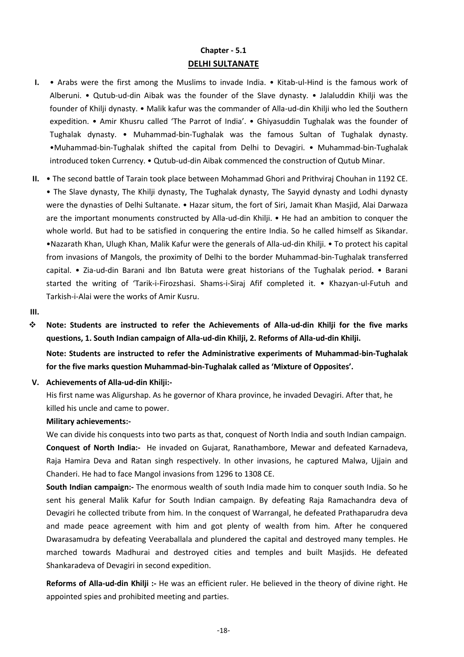## **Chapter - 5.1 DELHI SULTANATE**

- **I.** Arabs were the first among the Muslims to invade India. Kitab-ul-Hind is the famous work of Alberuni. • Qutub-ud-din Aibak was the founder of the Slave dynasty. • Jalaluddin Khilji was the founder of Khilji dynasty. • Malik kafur was the commander of Alla-ud-din Khilji who led the Southern expedition. • Amir Khusru called 'The Parrot of India'. • Ghiyasuddin Tughalak was the founder of Tughalak dynasty. • Muhammad-bin-Tughalak was the famous Sultan of Tughalak dynasty. •Muhammad-bin-Tughalak shifted the capital from Delhi to Devagiri. • Muhammad-bin-Tughalak introduced token Currency. • Qutub-ud-din Aibak commenced the construction of Qutub Minar.
- **II.** The second battle of Tarain took place between Mohammad Ghori and Prithviraj Chouhan in 1192 CE. • The Slave dynasty, The Khilji dynasty, The Tughalak dynasty, The Sayyid dynasty and Lodhi dynasty were the dynasties of Delhi Sultanate. • Hazar situm, the fort of Siri, Jamait Khan Masjid, Alai Darwaza are the important monuments constructed by Alla-ud-din Khilji. • He had an ambition to conquer the whole world. But had to be satisfied in conquering the entire India. So he called himself as Sikandar. •Nazarath Khan, Ulugh Khan, Malik Kafur were the generals of Alla-ud-din Khilji. • To protect his capital from invasions of Mangols, the proximity of Delhi to the border Muhammad-bin-Tughalak transferred capital. • Zia-ud-din Barani and Ibn Batuta were great historians of the Tughalak period. • Barani started the writing of 'Tarik-i-Firozshasi. Shams-i-Siraj Afif completed it. • Khazyan-ul-Futuh and Tarkish-i-Alai were the works of Amir Kusru.

#### **III.**

 **Note: Students are instructed to refer the Achievements of Alla-ud-din Khilji for the five marks questions, 1. South Indian campaign of Alla-ud-din Khilji, 2. Reforms of Alla-ud-din Khilji.**

**Note: Students are instructed to refer the Administrative experiments of Muhammad-bin-Tughalak for the five marks question Muhammad-bin-Tughalak called as 'Mixture of Opposites'.** 

#### **V. Achievements of Alla-ud-din Khilji:-**

His first name was Aligurshap. As he governor of Khara province, he invaded Devagiri. After that, he killed his uncle and came to power.

## **Military achievements:-**

We can divide his conquests into two parts as that, conquest of North India and south Indian campaign. **Conquest of North India:-** He invaded on Gujarat, Ranathambore, Mewar and defeated Karnadeva, Raja Hamira Deva and Ratan singh respectively. In other invasions, he captured Malwa, Ujjain and Chanderi. He had to face Mangol invasions from 1296 to 1308 CE.

**South Indian campaign:-** The enormous wealth of south India made him to conquer south India. So he sent his general Malik Kafur for South Indian campaign. By defeating Raja Ramachandra deva of Devagiri he collected tribute from him. In the conquest of Warrangal, he defeated Prathaparudra deva and made peace agreement with him and got plenty of wealth from him. After he conquered Dwarasamudra by defeating Veeraballala and plundered the capital and destroyed many temples. He marched towards Madhurai and destroyed cities and temples and built Masjids. He defeated Shankaradeva of Devagiri in second expedition.

**Reforms of Alla-ud-din Khilji :-** He was an efficient ruler. He believed in the theory of divine right. He appointed spies and prohibited meeting and parties.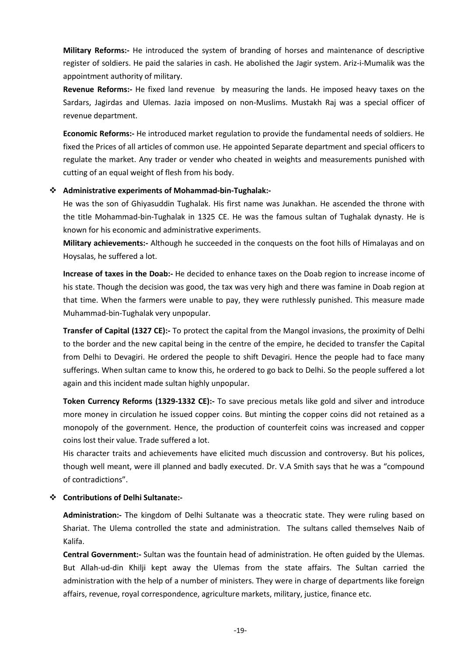**Military Reforms:-** He introduced the system of branding of horses and maintenance of descriptive register of soldiers. He paid the salaries in cash. He abolished the Jagir system. Ariz-i-Mumalik was the appointment authority of military.

**Revenue Reforms:-** He fixed land revenue by measuring the lands. He imposed heavy taxes on the Sardars, Jagirdas and Ulemas. Jazia imposed on non-Muslims. Mustakh Raj was a special officer of revenue department.

**Economic Reforms:-** He introduced market regulation to provide the fundamental needs of soldiers. He fixed the Prices of all articles of common use. He appointed Separate department and special officers to regulate the market. Any trader or vender who cheated in weights and measurements punished with cutting of an equal weight of flesh from his body.

## **Administrative experiments of Mohammad-bin-Tughalak:-**

He was the son of Ghiyasuddin Tughalak. His first name was Junakhan. He ascended the throne with the title Mohammad-bin-Tughalak in 1325 CE. He was the famous sultan of Tughalak dynasty. He is known for his economic and administrative experiments.

**Military achievements:-** Although he succeeded in the conquests on the foot hills of Himalayas and on Hoysalas, he suffered a lot.

**Increase of taxes in the Doab:-** He decided to enhance taxes on the Doab region to increase income of his state. Though the decision was good, the tax was very high and there was famine in Doab region at that time. When the farmers were unable to pay, they were ruthlessly punished. This measure made Muhammad-bin-Tughalak very unpopular.

**Transfer of Capital (1327 CE):-** To protect the capital from the Mangol invasions, the proximity of Delhi to the border and the new capital being in the centre of the empire, he decided to transfer the Capital from Delhi to Devagiri. He ordered the people to shift Devagiri. Hence the people had to face many sufferings. When sultan came to know this, he ordered to go back to Delhi. So the people suffered a lot again and this incident made sultan highly unpopular.

**Token Currency Reforms (1329-1332 CE):-** To save precious metals like gold and silver and introduce more money in circulation he issued copper coins. But minting the copper coins did not retained as a monopoly of the government. Hence, the production of counterfeit coins was increased and copper coins lost their value. Trade suffered a lot.

His character traits and achievements have elicited much discussion and controversy. But his polices, though well meant, were ill planned and badly executed. Dr. V.A Smith says that he was a "compound of contradictions".

## **Contributions of Delhi Sultanate:-**

**Administration:-** The kingdom of Delhi Sultanate was a theocratic state. They were ruling based on Shariat. The Ulema controlled the state and administration. The sultans called themselves Naib of Kalifa.

**Central Government:-** Sultan was the fountain head of administration. He often guided by the Ulemas. But Allah-ud-din Khilji kept away the Ulemas from the state affairs. The Sultan carried the administration with the help of a number of ministers. They were in charge of departments like foreign affairs, revenue, royal correspondence, agriculture markets, military, justice, finance etc.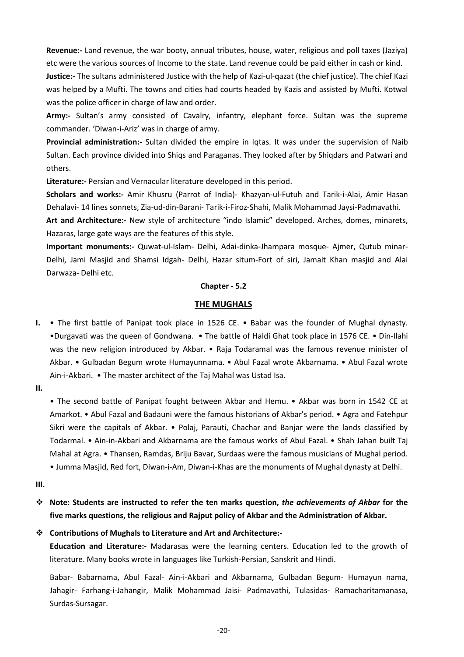**Revenue:-** Land revenue, the war booty, annual tributes, house, water, religious and poll taxes (Jaziya) etc were the various sources of Income to the state. Land revenue could be paid either in cash or kind.

**Justice:-** The sultans administered Justice with the help of Kazi-ul-qazat (the chief justice). The chief Kazi was helped by a Mufti. The towns and cities had courts headed by Kazis and assisted by Mufti. Kotwal was the police officer in charge of law and order.

**Army:-** Sultan's army consisted of Cavalry, infantry, elephant force. Sultan was the supreme commander. 'Diwan-i-Ariz' was in charge of army.

**Provincial administration:-** Sultan divided the empire in Iqtas. It was under the supervision of Naib Sultan. Each province divided into Shiqs and Paraganas. They looked after by Shiqdars and Patwari and others.

**Literature:-** Persian and Vernacular literature developed in this period.

**Scholars and works:-** Amir Khusru (Parrot of India)- Khazyan-ul-Futuh and Tarik-i-Alai, Amir Hasan Dehalavi- 14 lines sonnets, Zia-ud-din-Barani- Tarik-i-Firoz-Shahi, Malik Mohammad Jaysi-Padmavathi.

**Art and Architecture:-** New style of architecture "indo Islamic" developed. Arches, domes, minarets, Hazaras, large gate ways are the features of this style.

**Important monuments:-** Quwat-ul-Islam- Delhi, Adai-dinka-Jhampara mosque- Ajmer, Qutub minar-Delhi, Jami Masjid and Shamsi Idgah- Delhi, Hazar situm-Fort of siri, Jamait Khan masjid and Alai Darwaza- Delhi etc.

## **Chapter - 5.2**

## **THE MUGHALS**

- **I.** The first battle of Panipat took place in 1526 CE. Babar was the founder of Mughal dynasty. •Durgavati was the queen of Gondwana. • The battle of Haldi Ghat took place in 1576 CE. • Din-Ilahi was the new religion introduced by Akbar. • Raja Todaramal was the famous revenue minister of Akbar. • Gulbadan Begum wrote Humayunnama. • Abul Fazal wrote Akbarnama. • Abul Fazal wrote Ain-i-Akbari. • The master architect of the Taj Mahal was Ustad Isa.
- **II.**

• The second battle of Panipat fought between Akbar and Hemu. • Akbar was born in 1542 CE at Amarkot. • Abul Fazal and Badauni were the famous historians of Akbar's period. • Agra and Fatehpur Sikri were the capitals of Akbar. • Polaj, Parauti, Chachar and Banjar were the lands classified by Todarmal. • Ain-in-Akbari and Akbarnama are the famous works of Abul Fazal. • Shah Jahan built Taj Mahal at Agra. • Thansen, Ramdas, Briju Bavar, Surdaas were the famous musicians of Mughal period. • Jumma Masjid, Red fort, Diwan-i-Am, Diwan-i-Khas are the monuments of Mughal dynasty at Delhi.

**III.**

 **Note: Students are instructed to refer the ten marks question,** *the achievements of Akbar* **for the five marks questions, the religious and Rajput policy of Akbar and the Administration of Akbar.**

## **Contributions of Mughals to Literature and Art and Architecture:-**

**Education and Literature:-** Madarasas were the learning centers. Education led to the growth of literature. Many books wrote in languages like Turkish-Persian, Sanskrit and Hindi.

Babar- Babarnama, Abul Fazal- Ain-i-Akbari and Akbarnama, Gulbadan Begum- Humayun nama, Jahagir- Farhang-i-Jahangir, Malik Mohammad Jaisi- Padmavathi, Tulasidas- Ramacharitamanasa, Surdas-Sursagar.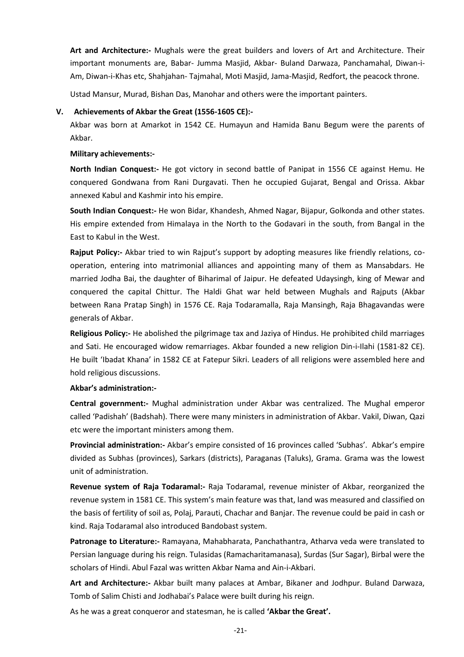**Art and Architecture:-** Mughals were the great builders and lovers of Art and Architecture. Their important monuments are, Babar- Jumma Masjid, Akbar- Buland Darwaza, Panchamahal, Diwan-i-Am, Diwan-i-Khas etc, Shahjahan- Tajmahal, Moti Masjid, Jama-Masjid, Redfort, the peacock throne.

Ustad Mansur, Murad, Bishan Das, Manohar and others were the important painters.

#### **V. Achievements of Akbar the Great (1556-1605 CE):-**

Akbar was born at Amarkot in 1542 CE. Humayun and Hamida Banu Begum were the parents of Akbar.

#### **Military achievements:-**

**North Indian Conquest:-** He got victory in second battle of Panipat in 1556 CE against Hemu. He conquered Gondwana from Rani Durgavati. Then he occupied Gujarat, Bengal and Orissa. Akbar annexed Kabul and Kashmir into his empire.

**South Indian Conquest:-** He won Bidar, Khandesh, Ahmed Nagar, Bijapur, Golkonda and other states. His empire extended from Himalaya in the North to the Godavari in the south, from Bangal in the East to Kabul in the West.

**Rajput Policy:-** Akbar tried to win Rajput's support by adopting measures like friendly relations, cooperation, entering into matrimonial alliances and appointing many of them as Mansabdars. He married Jodha Bai, the daughter of Biharimal of Jaipur. He defeated Udaysingh, king of Mewar and conquered the capital Chittur. The Haldi Ghat war held between Mughals and Rajputs (Akbar between Rana Pratap Singh) in 1576 CE. Raja Todaramalla, Raja Mansingh, Raja Bhagavandas were generals of Akbar.

**Religious Policy:-** He abolished the pilgrimage tax and Jaziya of Hindus. He prohibited child marriages and Sati. He encouraged widow remarriages. Akbar founded a new religion Din-i-Ilahi (1581-82 CE). He built 'Ibadat Khana' in 1582 CE at Fatepur Sikri. Leaders of all religions were assembled here and hold religious discussions.

#### **Akbar's administration:-**

**Central government:-** Mughal administration under Akbar was centralized. The Mughal emperor called 'Padishah' (Badshah). There were many ministers in administration of Akbar. Vakil, Diwan, Qazi etc were the important ministers among them.

**Provincial administration:-** Akbar's empire consisted of 16 provinces called 'Subhas'. Abkar's empire divided as Subhas (provinces), Sarkars (districts), Paraganas (Taluks), Grama. Grama was the lowest unit of administration.

**Revenue system of Raja Todaramal:-** Raja Todaramal, revenue minister of Akbar, reorganized the revenue system in 1581 CE. This system's main feature was that, land was measured and classified on the basis of fertility of soil as, Polaj, Parauti, Chachar and Banjar. The revenue could be paid in cash or kind. Raja Todaramal also introduced Bandobast system.

**Patronage to Literature:-** Ramayana, Mahabharata, Panchathantra, Atharva veda were translated to Persian language during his reign. Tulasidas (Ramacharitamanasa), Surdas (Sur Sagar), Birbal were the scholars of Hindi. Abul Fazal was written Akbar Nama and Ain-i-Akbari.

**Art and Architecture:-** Akbar built many palaces at Ambar, Bikaner and Jodhpur. Buland Darwaza, Tomb of Salim Chisti and Jodhabai's Palace were built during his reign.

As he was a great conqueror and statesman, he is called **'Akbar the Great'.**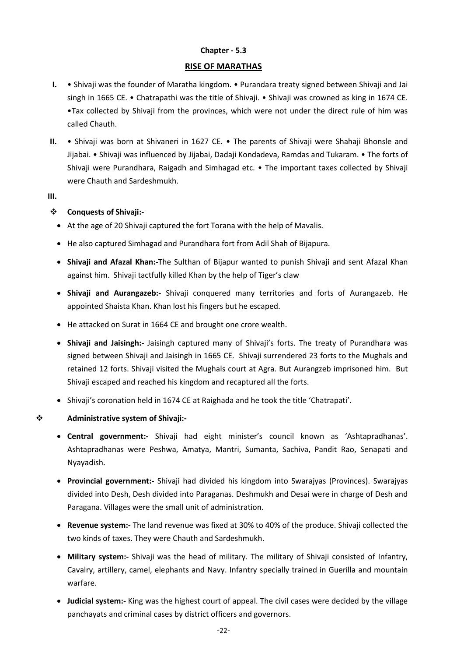## **Chapter - 5.3**

## **RISE OF MARATHAS**

- **I.** Shivaji was the founder of Maratha kingdom. Purandara treaty signed between Shivaji and Jai singh in 1665 CE. • Chatrapathi was the title of Shivaji. • Shivaji was crowned as king in 1674 CE. •Tax collected by Shivaji from the provinces, which were not under the direct rule of him was called Chauth.
- **II.** Shivaji was born at Shivaneri in 1627 CE. The parents of Shivaji were Shahaji Bhonsle and Jijabai. • Shivaji was influenced by Jijabai, Dadaji Kondadeva, Ramdas and Tukaram. • The forts of Shivaji were Purandhara, Raigadh and Simhagad etc. • The important taxes collected by Shivaji were Chauth and Sardeshmukh.
- **III.**

## **Conquests of Shivaji:-**

- At the age of 20 Shivaji captured the fort Torana with the help of Mavalis.
- He also captured Simhagad and Purandhara fort from Adil Shah of Bijapura.
- **Shivaji and Afazal Khan:-**The Sulthan of Bijapur wanted to punish Shivaji and sent Afazal Khan against him. Shivaji tactfully killed Khan by the help of Tiger's claw
- **Shivaji and Aurangazeb:-** Shivaji conquered many territories and forts of Aurangazeb. He appointed Shaista Khan. Khan lost his fingers but he escaped.
- He attacked on Surat in 1664 CE and brought one crore wealth.
- **Shivaji and Jaisingh:-** Jaisingh captured many of Shivaji's forts. The treaty of Purandhara was signed between Shivaji and Jaisingh in 1665 CE. Shivaji surrendered 23 forts to the Mughals and retained 12 forts. Shivaji visited the Mughals court at Agra. But Aurangzeb imprisoned him. But Shivaji escaped and reached his kingdom and recaptured all the forts.
- Shivaji's coronation held in 1674 CE at Raighada and he took the title 'Chatrapati'.

## **Administrative system of Shivaji:-**

- **Central government:-** Shivaji had eight minister's council known as 'Ashtapradhanas'. Ashtapradhanas were Peshwa, Amatya, Mantri, Sumanta, Sachiva, Pandit Rao, Senapati and Nyayadish.
- **Provincial government:-** Shivaji had divided his kingdom into Swarajyas (Provinces). Swarajyas divided into Desh, Desh divided into Paraganas. Deshmukh and Desai were in charge of Desh and Paragana. Villages were the small unit of administration.
- **Revenue system:-** The land revenue was fixed at 30% to 40% of the produce. Shivaji collected the two kinds of taxes. They were Chauth and Sardeshmukh.
- **Military system:-** Shivaji was the head of military. The military of Shivaji consisted of Infantry, Cavalry, artillery, camel, elephants and Navy. Infantry specially trained in Guerilla and mountain warfare.
- **Judicial system:-** King was the highest court of appeal. The civil cases were decided by the village panchayats and criminal cases by district officers and governors.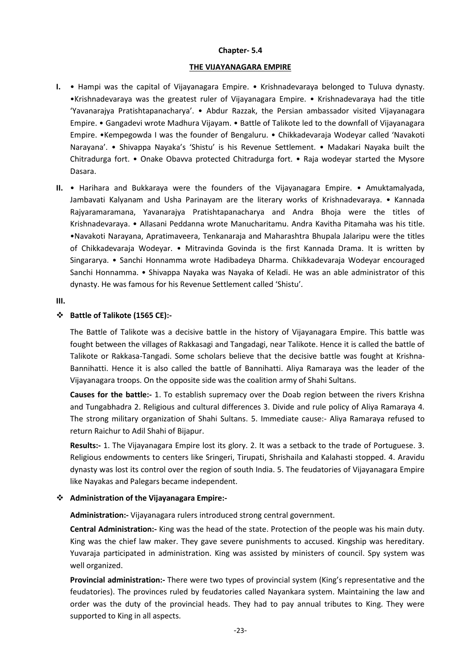#### **Chapter- 5.4**

#### **THE VIJAYANAGARA EMPIRE**

- **I.** Hampi was the capital of Vijayanagara Empire. Krishnadevaraya belonged to Tuluva dynasty. •Krishnadevaraya was the greatest ruler of Vijayanagara Empire. • Krishnadevaraya had the title 'Yavanarajya Pratishtapanacharya'. • Abdur Razzak, the Persian ambassador visited Vijayanagara Empire. • Gangadevi wrote Madhura Vijayam. • Battle of Talikote led to the downfall of Vijayanagara Empire. •Kempegowda I was the founder of Bengaluru. • Chikkadevaraja Wodeyar called 'Navakoti Narayana'. • Shivappa Nayaka's 'Shistu' is his Revenue Settlement. • Madakari Nayaka built the Chitradurga fort. • Onake Obavva protected Chitradurga fort. • Raja wodeyar started the Mysore Dasara.
- **II.** Harihara and Bukkaraya were the founders of the Vijayanagara Empire. Amuktamalyada, Jambavati Kalyanam and Usha Parinayam are the literary works of Krishnadevaraya. • Kannada Rajyaramaramana, Yavanarajya Pratishtapanacharya and Andra Bhoja were the titles of Krishnadevaraya. • Allasani Peddanna wrote Manucharitamu. Andra Kavitha Pitamaha was his title. •Navakoti Narayana, Apratimaveera, Tenkanaraja and Maharashtra Bhupala Jalaripu were the titles of Chikkadevaraja Wodeyar. • Mitravinda Govinda is the first Kannada Drama. It is written by Singararya. • Sanchi Honnamma wrote Hadibadeya Dharma. Chikkadevaraja Wodeyar encouraged Sanchi Honnamma. • Shivappa Nayaka was Nayaka of Keladi. He was an able administrator of this dynasty. He was famous for his Revenue Settlement called 'Shistu'.

#### **III.**

## **Battle of Talikote (1565 CE):-**

The Battle of Talikote was a decisive battle in the history of Vijayanagara Empire. This battle was fought between the villages of Rakkasagi and Tangadagi, near Talikote. Hence it is called the battle of Talikote or Rakkasa-Tangadi. Some scholars believe that the decisive battle was fought at Krishna-Bannihatti. Hence it is also called the battle of Bannihatti. Aliya Ramaraya was the leader of the Vijayanagara troops. On the opposite side was the coalition army of Shahi Sultans.

**Causes for the battle:-** 1. To establish supremacy over the Doab region between the rivers Krishna and Tungabhadra 2. Religious and cultural differences 3. Divide and rule policy of Aliya Ramaraya 4. The strong military organization of Shahi Sultans. 5. Immediate cause:- Aliya Ramaraya refused to return Raichur to Adil Shahi of Bijapur.

**Results:-** 1. The Vijayanagara Empire lost its glory. 2. It was a setback to the trade of Portuguese. 3. Religious endowments to centers like Sringeri, Tirupati, Shrishaila and Kalahasti stopped. 4. Aravidu dynasty was lost its control over the region of south India. 5. The feudatories of Vijayanagara Empire like Nayakas and Palegars became independent.

## **Administration of the Vijayanagara Empire:-**

**Administration:-** Vijayanagara rulers introduced strong central government.

**Central Administration:-** King was the head of the state. Protection of the people was his main duty. King was the chief law maker. They gave severe punishments to accused. Kingship was hereditary. Yuvaraja participated in administration. King was assisted by ministers of council. Spy system was well organized.

**Provincial administration:-** There were two types of provincial system (King's representative and the feudatories). The provinces ruled by feudatories called Nayankara system. Maintaining the law and order was the duty of the provincial heads. They had to pay annual tributes to King. They were supported to King in all aspects.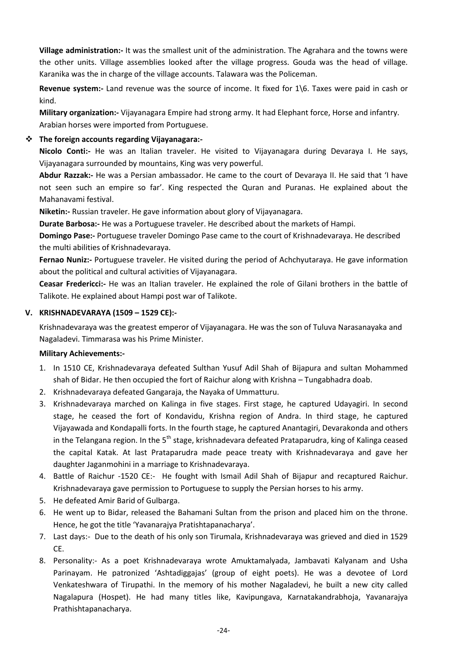**Village administration:-** It was the smallest unit of the administration. The Agrahara and the towns were the other units. Village assemblies looked after the village progress. Gouda was the head of village. Karanika was the in charge of the village accounts. Talawara was the Policeman.

**Revenue system:-** Land revenue was the source of income. It fixed for 1\6. Taxes were paid in cash or kind.

**Military organization:-** Vijayanagara Empire had strong army. It had Elephant force, Horse and infantry. Arabian horses were imported from Portuguese.

## **The foreign accounts regarding Vijayanagara:-**

**Nicolo Conti:-** He was an Italian traveler. He visited to Vijayanagara during Devaraya I. He says, Vijayanagara surrounded by mountains, King was very powerful.

**Abdur Razzak:-** He was a Persian ambassador. He came to the court of Devaraya II. He said that 'I have not seen such an empire so far'. King respected the Quran and Puranas. He explained about the Mahanavami festival.

**Niketin:-** Russian traveler. He gave information about glory of Vijayanagara.

**Durate Barbosa:-** He was a Portuguese traveler. He described about the markets of Hampi.

**Domingo Pase:-** Portuguese traveler Domingo Pase came to the court of Krishnadevaraya. He described the multi abilities of Krishnadevaraya.

**Fernao Nuniz:-** Portuguese traveler. He visited during the period of Achchyutaraya. He gave information about the political and cultural activities of Vijayanagara.

**Ceasar Fredericci:-** He was an Italian traveler. He explained the role of Gilani brothers in the battle of Talikote. He explained about Hampi post war of Talikote.

## **V. KRISHNADEVARAYA (1509 – 1529 CE):-**

Krishnadevaraya was the greatest emperor of Vijayanagara. He was the son of Tuluva Narasanayaka and Nagaladevi. Timmarasa was his Prime Minister.

## **Military Achievements:-**

- 1. In 1510 CE, Krishnadevaraya defeated Sulthan Yusuf Adil Shah of Bijapura and sultan Mohammed shah of Bidar. He then occupied the fort of Raichur along with Krishna – Tungabhadra doab.
- 2. Krishnadevaraya defeated Gangaraja, the Nayaka of Ummatturu.
- 3. Krishnadevaraya marched on Kalinga in five stages. First stage, he captured Udayagiri. In second stage, he ceased the fort of Kondavidu, Krishna region of Andra. In third stage, he captured Vijayawada and Kondapalli forts. In the fourth stage, he captured Anantagiri, Devarakonda and others in the Telangana region. In the 5<sup>th</sup> stage, krishnadevara defeated Prataparudra, king of Kalinga ceased the capital Katak. At last Prataparudra made peace treaty with Krishnadevaraya and gave her daughter Jaganmohini in a marriage to Krishnadevaraya.
- 4. Battle of Raichur -1520 CE:- He fought with Ismail Adil Shah of Bijapur and recaptured Raichur. Krishnadevaraya gave permission to Portuguese to supply the Persian horses to his army.
- 5. He defeated Amir Barid of Gulbarga.
- 6. He went up to Bidar, released the Bahamani Sultan from the prison and placed him on the throne. Hence, he got the title 'Yavanarajya Pratishtapanacharya'.
- 7. Last days:- Due to the death of his only son Tirumala, Krishnadevaraya was grieved and died in 1529 CE.
- 8. Personality:- As a poet Krishnadevaraya wrote Amuktamalyada, Jambavati Kalyanam and Usha Parinayam. He patronized 'Ashtadiggajas' (group of eight poets). He was a devotee of Lord Venkateshwara of Tirupathi. In the memory of his mother Nagaladevi, he built a new city called Nagalapura (Hospet). He had many titles like, Kavipungava, Karnatakandrabhoja, Yavanarajya Prathishtapanacharya.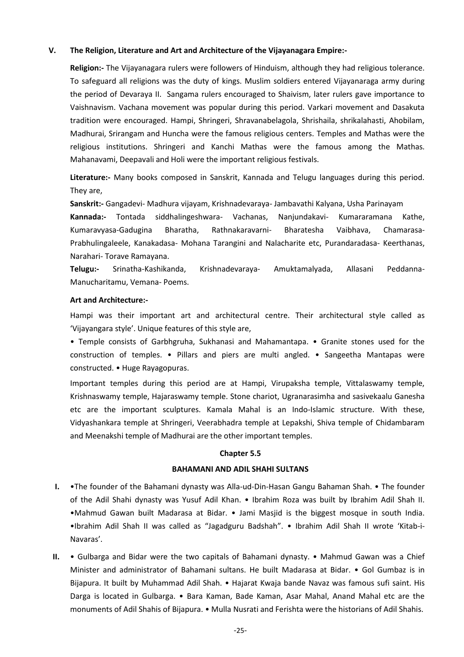## **V. The Religion, Literature and Art and Architecture of the Vijayanagara Empire:-**

**Religion:-** The Vijayanagara rulers were followers of Hinduism, although they had religious tolerance. To safeguard all religions was the duty of kings. Muslim soldiers entered Vijayanaraga army during the period of Devaraya II. Sangama rulers encouraged to Shaivism, later rulers gave importance to Vaishnavism. Vachana movement was popular during this period. Varkari movement and Dasakuta tradition were encouraged. Hampi, Shringeri, Shravanabelagola, Shrishaila, shrikalahasti, Ahobilam, Madhurai, Srirangam and Huncha were the famous religious centers. Temples and Mathas were the religious institutions. Shringeri and Kanchi Mathas were the famous among the Mathas. Mahanavami, Deepavali and Holi were the important religious festivals.

**Literature:-** Many books composed in Sanskrit, Kannada and Telugu languages during this period. They are,

**Sanskrit:-** Gangadevi- Madhura vijayam, Krishnadevaraya- Jambavathi Kalyana, Usha Parinayam

**Kannada:-** Tontada siddhalingeshwara- Vachanas, Nanjundakavi- Kumararamana Kathe, Kumaravyasa-Gadugina Bharatha, Rathnakaravarni- Bharatesha Vaibhava, Chamarasa-Prabhulingaleele, Kanakadasa- Mohana Tarangini and Nalacharite etc, Purandaradasa- Keerthanas, Narahari- Torave Ramayana.

**Telugu:-** Srinatha-Kashikanda, Krishnadevaraya- Amuktamalyada, Allasani Peddanna-Manucharitamu, Vemana- Poems.

#### **Art and Architecture:-**

Hampi was their important art and architectural centre. Their architectural style called as 'Vijayangara style'. Unique features of this style are,

• Temple consists of Garbhgruha, Sukhanasi and Mahamantapa. • Granite stones used for the construction of temples. • Pillars and piers are multi angled. • Sangeetha Mantapas were constructed. • Huge Rayagopuras.

Important temples during this period are at Hampi, Virupaksha temple, Vittalaswamy temple, Krishnaswamy temple, Hajaraswamy temple. Stone chariot, Ugranarasimha and sasivekaalu Ganesha etc are the important sculptures. Kamala Mahal is an Indo-Islamic structure. With these, Vidyashankara temple at Shringeri, Veerabhadra temple at Lepakshi, Shiva temple of Chidambaram and Meenakshi temple of Madhurai are the other important temples.

#### **Chapter 5.5**

#### **BAHAMANI AND ADIL SHAHI SULTANS**

- **I.** •The founder of the Bahamani dynasty was Alla-ud-Din-Hasan Gangu Bahaman Shah. The founder of the Adil Shahi dynasty was Yusuf Adil Khan. • Ibrahim Roza was built by Ibrahim Adil Shah II. •Mahmud Gawan built Madarasa at Bidar. • Jami Masjid is the biggest mosque in south India. •Ibrahim Adil Shah II was called as "Jagadguru Badshah". • Ibrahim Adil Shah II wrote 'Kitab-i-Navaras'.
- **II.** Gulbarga and Bidar were the two capitals of Bahamani dynasty. Mahmud Gawan was a Chief Minister and administrator of Bahamani sultans. He built Madarasa at Bidar. • Gol Gumbaz is in Bijapura. It built by Muhammad Adil Shah. • Hajarat Kwaja bande Navaz was famous sufi saint. His Darga is located in Gulbarga. • Bara Kaman, Bade Kaman, Asar Mahal, Anand Mahal etc are the monuments of Adil Shahis of Bijapura. • Mulla Nusrati and Ferishta were the historians of Adil Shahis.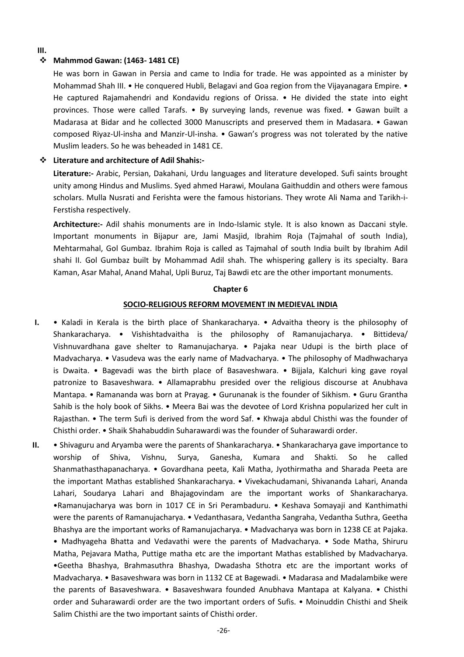#### **III.**

## **Mahmmod Gawan: (1463- 1481 CE)**

He was born in Gawan in Persia and came to India for trade. He was appointed as a minister by Mohammad Shah III. • He conquered Hubli, Belagavi and Goa region from the Vijayanagara Empire. • He captured Rajamahendri and Kondavidu regions of Orissa. • He divided the state into eight provinces. Those were called Tarafs. • By surveying lands, revenue was fixed. • Gawan built a Madarasa at Bidar and he collected 3000 Manuscripts and preserved them in Madasara. • Gawan composed Riyaz-Ul-insha and Manzir-Ul-insha. • Gawan's progress was not tolerated by the native Muslim leaders. So he was beheaded in 1481 CE.

## **Literature and architecture of Adil Shahis:-**

**Literature:-** Arabic, Persian, Dakahani, Urdu languages and literature developed. Sufi saints brought unity among Hindus and Muslims. Syed ahmed Harawi, Moulana Gaithuddin and others were famous scholars. Mulla Nusrati and Ferishta were the famous historians. They wrote Ali Nama and Tarikh-i-Ferstisha respectively.

**Architecture:-** Adil shahis monuments are in Indo-Islamic style. It is also known as Daccani style. Important monuments in Bijapur are, Jami Masjid, Ibrahim Roja (Tajmahal of south India), Mehtarmahal, Gol Gumbaz. Ibrahim Roja is called as Tajmahal of south India built by Ibrahim Adil shahi II. Gol Gumbaz built by Mohammad Adil shah. The whispering gallery is its specialty. Bara Kaman, Asar Mahal, Anand Mahal, Upli Buruz, Taj Bawdi etc are the other important monuments.

#### **Chapter 6**

#### **SOCIO-RELIGIOUS REFORM MOVEMENT IN MEDIEVAL INDIA**

- **I.** Kaladi in Kerala is the birth place of Shankaracharya. Advaitha theory is the philosophy of Shankaracharya. • Vishishtadvaitha is the philosophy of Ramanujacharya. • Bittideva/ Vishnuvardhana gave shelter to Ramanujacharya. • Pajaka near Udupi is the birth place of Madvacharya. • Vasudeva was the early name of Madvacharya. • The philosophy of Madhwacharya is Dwaita. • Bagevadi was the birth place of Basaveshwara. • Bijjala, Kalchuri king gave royal patronize to Basaveshwara. • Allamaprabhu presided over the religious discourse at Anubhava Mantapa. • Ramananda was born at Prayag. • Gurunanak is the founder of Sikhism. • Guru Grantha Sahib is the holy book of Sikhs. • Meera Bai was the devotee of Lord Krishna popularized her cult in Rajasthan. • The term Sufi is derived from the word Saf. • Khwaja abdul Chisthi was the founder of Chisthi order. • Shaik Shahabuddin Suharawardi was the founder of Suharawardi order.
- **II.** Shivaguru and Aryamba were the parents of Shankaracharya. Shankaracharya gave importance to worship of Shiva, Vishnu, Surya, Ganesha, Kumara and Shakti. So he called Shanmathasthapanacharya. • Govardhana peeta, Kali Matha, Jyothirmatha and Sharada Peeta are the important Mathas established Shankaracharya. • Vivekachudamani, Shivananda Lahari, Ananda Lahari, Soudarya Lahari and Bhajagovindam are the important works of Shankaracharya. •Ramanujacharya was born in 1017 CE in Sri Perambaduru. • Keshava Somayaji and Kanthimathi were the parents of Ramanujacharya. • Vedanthasara, Vedantha Sangraha, Vedantha Suthra, Geetha Bhashya are the important works of Ramanujacharya. • Madvacharya was born in 1238 CE at Pajaka. • Madhyageha Bhatta and Vedavathi were the parents of Madvacharya. • Sode Matha, Shiruru Matha, Pejavara Matha, Puttige matha etc are the important Mathas established by Madvacharya. •Geetha Bhashya, Brahmasuthra Bhashya, Dwadasha Sthotra etc are the important works of Madvacharya. • Basaveshwara was born in 1132 CE at Bagewadi. • Madarasa and Madalambike were the parents of Basaveshwara. • Basaveshwara founded Anubhava Mantapa at Kalyana. • Chisthi order and Suharawardi order are the two important orders of Sufis. • Moinuddin Chisthi and Sheik Salim Chisthi are the two important saints of Chisthi order.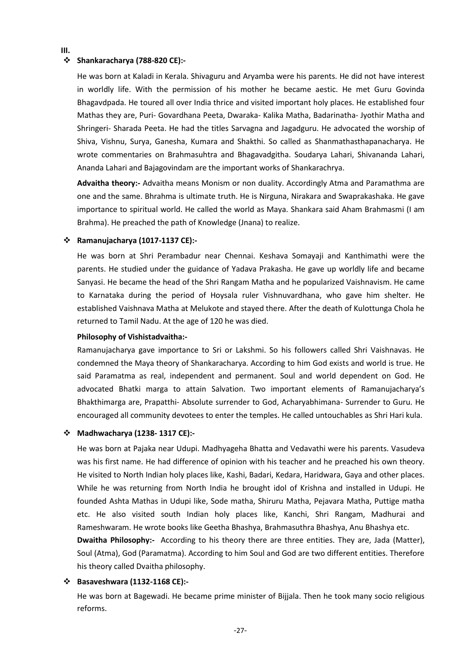#### **III.**

#### **Shankaracharya (788-820 CE):-**

He was born at Kaladi in Kerala. Shivaguru and Aryamba were his parents. He did not have interest in worldly life. With the permission of his mother he became aestic. He met Guru Govinda Bhagavdpada. He toured all over India thrice and visited important holy places. He established four Mathas they are, Puri- Govardhana Peeta, Dwaraka- Kalika Matha, Badarinatha- Jyothir Matha and Shringeri- Sharada Peeta. He had the titles Sarvagna and Jagadguru. He advocated the worship of Shiva, Vishnu, Surya, Ganesha, Kumara and Shakthi. So called as Shanmathasthapanacharya. He wrote commentaries on Brahmasuhtra and Bhagavadgitha. Soudarya Lahari, Shivananda Lahari, Ananda Lahari and Bajagovindam are the important works of Shankarachrya.

**Advaitha theory:-** Advaitha means Monism or non duality. Accordingly Atma and Paramathma are one and the same. Bhrahma is ultimate truth. He is Nirguna, Nirakara and Swaprakashaka. He gave importance to spiritual world. He called the world as Maya. Shankara said Aham Brahmasmi (I am Brahma). He preached the path of Knowledge (Jnana) to realize.

#### **Ramanujacharya (1017-1137 CE):-**

He was born at Shri Perambadur near Chennai. Keshava Somayaji and Kanthimathi were the parents. He studied under the guidance of Yadava Prakasha. He gave up worldly life and became Sanyasi. He became the head of the Shri Rangam Matha and he popularized Vaishnavism. He came to Karnataka during the period of Hoysala ruler Vishnuvardhana, who gave him shelter. He established Vaishnava Matha at Melukote and stayed there. After the death of Kulottunga Chola he returned to Tamil Nadu. At the age of 120 he was died.

#### **Philosophy of Vishistadvaitha:-**

Ramanujacharya gave importance to Sri or Lakshmi. So his followers called Shri Vaishnavas. He condemned the Maya theory of Shankaracharya. According to him God exists and world is true. He said Paramatma as real, independent and permanent. Soul and world dependent on God. He advocated Bhatki marga to attain Salvation. Two important elements of Ramanujacharya's Bhakthimarga are, Prapatthi- Absolute surrender to God, Acharyabhimana- Surrender to Guru. He encouraged all community devotees to enter the temples. He called untouchables as Shri Hari kula.

#### **Madhwacharya (1238- 1317 CE):-**

He was born at Pajaka near Udupi. Madhyageha Bhatta and Vedavathi were his parents. Vasudeva was his first name. He had difference of opinion with his teacher and he preached his own theory. He visited to North Indian holy places like, Kashi, Badari, Kedara, Haridwara, Gaya and other places. While he was returning from North India he brought idol of Krishna and installed in Udupi. He founded Ashta Mathas in Udupi like, Sode matha, Shiruru Matha, Pejavara Matha, Puttige matha etc. He also visited south Indian holy places like, Kanchi, Shri Rangam, Madhurai and Rameshwaram. He wrote books like Geetha Bhashya, Brahmasuthra Bhashya, Anu Bhashya etc.

**Dwaitha Philosophy:-** According to his theory there are three entities. They are, Jada (Matter), Soul (Atma), God (Paramatma). According to him Soul and God are two different entities. Therefore his theory called Dvaitha philosophy.

#### **Basaveshwara (1132-1168 CE):-**

He was born at Bagewadi. He became prime minister of Bijjala. Then he took many socio religious reforms.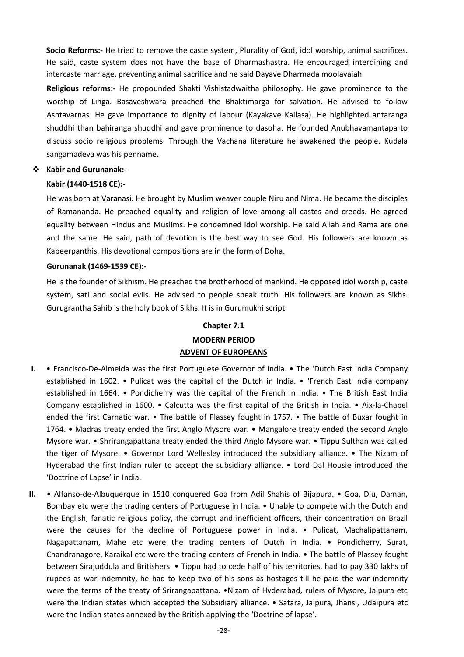**Socio Reforms:-** He tried to remove the caste system, Plurality of God, idol worship, animal sacrifices. He said, caste system does not have the base of Dharmashastra. He encouraged interdining and intercaste marriage, preventing animal sacrifice and he said Dayave Dharmada moolavaiah.

**Religious reforms:-** He propounded Shakti Vishistadwaitha philosophy. He gave prominence to the worship of Linga. Basaveshwara preached the Bhaktimarga for salvation. He advised to follow Ashtavarnas. He gave importance to dignity of labour (Kayakave Kailasa). He highlighted antaranga shuddhi than bahiranga shuddhi and gave prominence to dasoha. He founded Anubhavamantapa to discuss socio religious problems. Through the Vachana literature he awakened the people. Kudala sangamadeva was his penname.

## **Kabir and Gurunanak:-**

#### **Kabir (1440-1518 CE):-**

He was born at Varanasi. He brought by Muslim weaver couple Niru and Nima. He became the disciples of Ramananda. He preached equality and religion of love among all castes and creeds. He agreed equality between Hindus and Muslims. He condemned idol worship. He said Allah and Rama are one and the same. He said, path of devotion is the best way to see God. His followers are known as Kabeerpanthis. His devotional compositions are in the form of Doha.

#### **Gurunanak (1469-1539 CE):-**

He is the founder of Sikhism. He preached the brotherhood of mankind. He opposed idol worship, caste system, sati and social evils. He advised to people speak truth. His followers are known as Sikhs. Gurugrantha Sahib is the holy book of Sikhs. It is in Gurumukhi script.

#### **Chapter 7.1**

## **MODERN PERIOD ADVENT OF EUROPEANS**

- **I.** Francisco-De-Almeida was the first Portuguese Governor of India. The 'Dutch East India Company established in 1602. • Pulicat was the capital of the Dutch in India. • 'French East India company established in 1664. • Pondicherry was the capital of the French in India. • The British East India Company established in 1600. • Calcutta was the first capital of the British in India. • Aix-la-Chapel ended the first Carnatic war. • The battle of Plassey fought in 1757. • The battle of Buxar fought in 1764. • Madras treaty ended the first Anglo Mysore war. • Mangalore treaty ended the second Anglo Mysore war. • Shrirangapattana treaty ended the third Anglo Mysore war. • Tippu Sulthan was called the tiger of Mysore. • Governor Lord Wellesley introduced the subsidiary alliance. • The Nizam of Hyderabad the first Indian ruler to accept the subsidiary alliance. • Lord Dal Housie introduced the 'Doctrine of Lapse' in India.
- **II.** Alfanso-de-Albuquerque in 1510 conquered Goa from Adil Shahis of Bijapura. Goa, Diu, Daman, Bombay etc were the trading centers of Portuguese in India. • Unable to compete with the Dutch and the English, fanatic religious policy, the corrupt and inefficient officers, their concentration on Brazil were the causes for the decline of Portuguese power in India. • Pulicat, Machalipattanam, Nagapattanam, Mahe etc were the trading centers of Dutch in India. • Pondicherry, Surat, Chandranagore, Karaikal etc were the trading centers of French in India. • The battle of Plassey fought between Sirajuddula and Britishers. • Tippu had to cede half of his territories, had to pay 330 lakhs of rupees as war indemnity, he had to keep two of his sons as hostages till he paid the war indemnity were the terms of the treaty of Srirangapattana. •Nizam of Hyderabad, rulers of Mysore, Jaipura etc were the Indian states which accepted the Subsidiary alliance. • Satara, Jaipura, Jhansi, Udaipura etc were the Indian states annexed by the British applying the 'Doctrine of lapse'.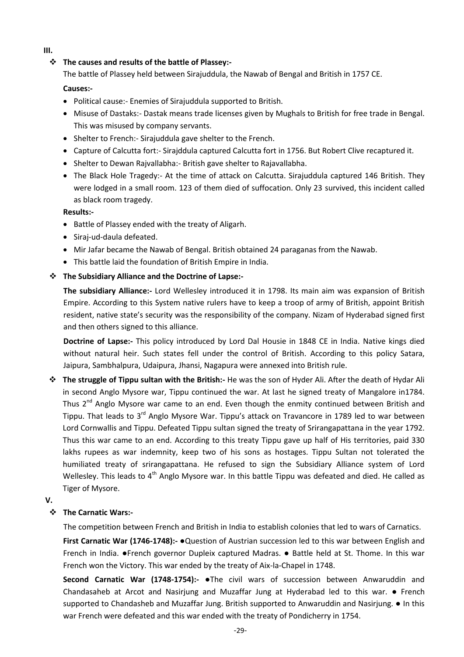**III.**

## **The causes and results of the battle of Plassey:-**

The battle of Plassey held between Sirajuddula, the Nawab of Bengal and British in 1757 CE.

## **Causes:-**

- Political cause:- Enemies of Sirajuddula supported to British.
- Misuse of Dastaks:- Dastak means trade licenses given by Mughals to British for free trade in Bengal. This was misused by company servants.
- Shelter to French: Sirajuddula gave shelter to the French.
- Capture of Calcutta fort:- Sirajddula captured Calcutta fort in 1756. But Robert Clive recaptured it.
- Shelter to Dewan Rajvallabha:- British gave shelter to Rajavallabha.
- The Black Hole Tragedy:- At the time of attack on Calcutta. Sirajuddula captured 146 British. They were lodged in a small room. 123 of them died of suffocation. Only 23 survived, this incident called as black room tragedy.

## **Results:-**

- Battle of Plassey ended with the treaty of Aligarh.
- Siraj-ud-daula defeated.
- Mir Jafar became the Nawab of Bengal. British obtained 24 paraganas from the Nawab.
- This battle laid the foundation of British Empire in India.

## **The Subsidiary Alliance and the Doctrine of Lapse:-**

**The subsidiary Alliance:-** Lord Wellesley introduced it in 1798. Its main aim was expansion of British Empire. According to this System native rulers have to keep a troop of army of British, appoint British resident, native state's security was the responsibility of the company. Nizam of Hyderabad signed first and then others signed to this alliance.

**Doctrine of Lapse:-** This policy introduced by Lord Dal Housie in 1848 CE in India. Native kings died without natural heir. Such states fell under the control of British. According to this policy Satara, Jaipura, Sambhalpura, Udaipura, Jhansi, Nagapura were annexed into British rule.

 **The struggle of Tippu sultan with the British:-** He was the son of Hyder Ali. After the death of Hydar Ali in second Anglo Mysore war, Tippu continued the war. At last he signed treaty of Mangalore in1784. Thus 2<sup>nd</sup> Anglo Mysore war came to an end. Even though the enmity continued between British and Tippu. That leads to 3<sup>rd</sup> Anglo Mysore War. Tippu's attack on Travancore in 1789 led to war between Lord Cornwallis and Tippu. Defeated Tippu sultan signed the treaty of Srirangapattana in the year 1792. Thus this war came to an end. According to this treaty Tippu gave up half of His territories, paid 330 lakhs rupees as war indemnity, keep two of his sons as hostages. Tippu Sultan not tolerated the humiliated treaty of srirangapattana. He refused to sign the Subsidiary Alliance system of Lord Wellesley. This leads to 4<sup>th</sup> Anglo Mysore war. In this battle Tippu was defeated and died. He called as Tiger of Mysore.

## **V.**

## **The Carnatic Wars:-**

The competition between French and British in India to establish colonies that led to wars of Carnatics.

**First Carnatic War (1746-1748):-** ●Question of Austrian succession led to this war between English and French in India. ●French governor Dupleix captured Madras. ● Battle held at St. Thome. In this war French won the Victory. This war ended by the treaty of Aix-la-Chapel in 1748.

**Second Carnatic War (1748-1754):-** ●The civil wars of succession between Anwaruddin and Chandasaheb at Arcot and Nasirjung and Muzaffar Jung at Hyderabad led to this war. ● French supported to Chandasheb and Muzaffar Jung. British supported to Anwaruddin and Nasirjung. ● In this war French were defeated and this war ended with the treaty of Pondicherry in 1754.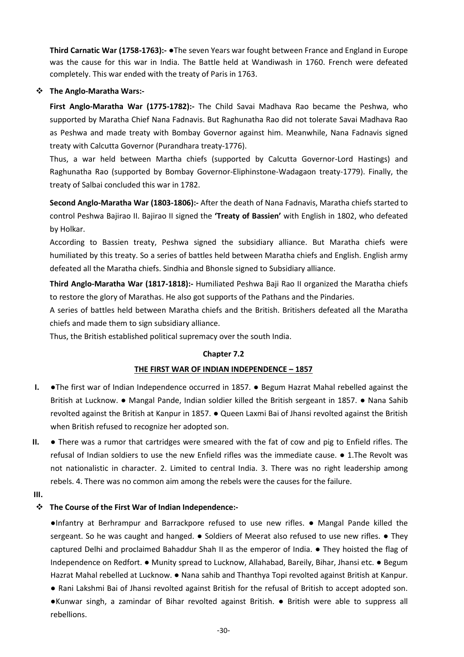**Third Carnatic War (1758-1763):-** ●The seven Years war fought between France and England in Europe was the cause for this war in India. The Battle held at Wandiwash in 1760. French were defeated completely. This war ended with the treaty of Paris in 1763.

## **The Anglo-Maratha Wars:-**

**First Anglo-Maratha War (1775-1782):-** The Child Savai Madhava Rao became the Peshwa, who supported by Maratha Chief Nana Fadnavis. But Raghunatha Rao did not tolerate Savai Madhava Rao as Peshwa and made treaty with Bombay Governor against him. Meanwhile, Nana Fadnavis signed treaty with Calcutta Governor (Purandhara treaty-1776).

Thus, a war held between Martha chiefs (supported by Calcutta Governor-Lord Hastings) and Raghunatha Rao (supported by Bombay Governor-Eliphinstone-Wadagaon treaty-1779). Finally, the treaty of Salbai concluded this war in 1782.

**Second Anglo-Maratha War (1803-1806):-** After the death of Nana Fadnavis, Maratha chiefs started to control Peshwa Bajirao II. Bajirao II signed the **'Treaty of Bassien'** with English in 1802, who defeated by Holkar.

According to Bassien treaty, Peshwa signed the subsidiary alliance. But Maratha chiefs were humiliated by this treaty. So a series of battles held between Maratha chiefs and English. English army defeated all the Maratha chiefs. Sindhia and Bhonsle signed to Subsidiary alliance.

**Third Anglo-Maratha War (1817-1818):-** Humiliated Peshwa Baji Rao II organized the Maratha chiefs to restore the glory of Marathas. He also got supports of the Pathans and the Pindaries.

A series of battles held between Maratha chiefs and the British. Britishers defeated all the Maratha chiefs and made them to sign subsidiary alliance.

Thus, the British established political supremacy over the south India.

## **Chapter 7.2**

## **THE FIRST WAR OF INDIAN INDEPENDENCE – 1857**

- **I.** ●The first war of Indian Independence occurred in 1857. Begum Hazrat Mahal rebelled against the British at Lucknow. ● Mangal Pande, Indian soldier killed the British sergeant in 1857. ● Nana Sahib revolted against the British at Kanpur in 1857. ● Queen Laxmi Bai of Jhansi revolted against the British when British refused to recognize her adopted son.
- **II.** There was a rumor that cartridges were smeared with the fat of cow and pig to Enfield rifles. The refusal of Indian soldiers to use the new Enfield rifles was the immediate cause. ● 1.The Revolt was not nationalistic in character. 2. Limited to central India. 3. There was no right leadership among rebels. 4. There was no common aim among the rebels were the causes for the failure.
- **III.**

## **The Course of the First War of Indian Independence:-**

●Infantry at Berhrampur and Barrackpore refused to use new rifles. ● Mangal Pande killed the sergeant. So he was caught and hanged.  $\bullet$  Soldiers of Meerat also refused to use new rifles.  $\bullet$  They captured Delhi and proclaimed Bahaddur Shah II as the emperor of India. ● They hoisted the flag of Independence on Redfort. ● Munity spread to Lucknow, Allahabad, Bareily, Bihar, Jhansi etc. ● Begum Hazrat Mahal rebelled at Lucknow. ● Nana sahib and Thanthya Topi revolted against British at Kanpur.

● Rani Lakshmi Bai of Jhansi revolted against British for the refusal of British to accept adopted son. ●Kunwar singh, a zamindar of Bihar revolted against British. ● British were able to suppress all rebellions.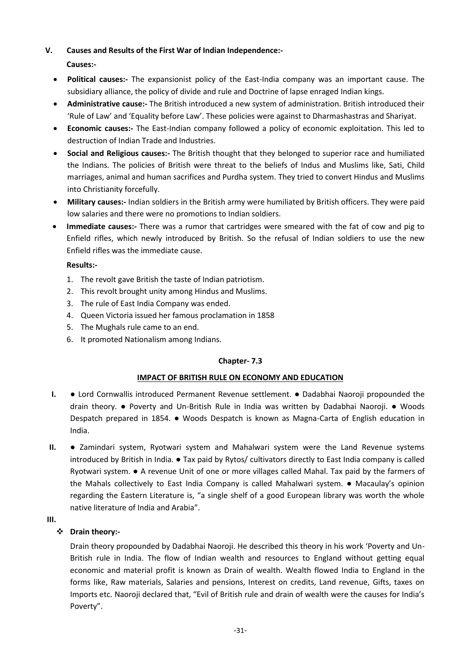## **V. Causes and Results of the First War of Indian Independence:-**

## **Causes:-**

- **Political causes:-** The expansionist policy of the East-India company was an important cause. The subsidiary alliance, the policy of divide and rule and Doctrine of lapse enraged Indian kings.
- **Administrative cause:-** The British introduced a new system of administration. British introduced their 'Rule of Law' and 'Equality before Law'. These policies were against to Dharmashastras and Shariyat.
- **Economic causes:-** The East-Indian company followed a policy of economic exploitation. This led to destruction of Indian Trade and Industries.
- **Social and Religious causes:-** The British thought that they belonged to superior race and humiliated the Indians. The policies of British were threat to the beliefs of Indus and Muslims like, Sati, Child marriages, animal and human sacrifices and Purdha system. They tried to convert Hindus and Muslims into Christianity forcefully.
- **Military causes:-** Indian soldiers in the British army were humiliated by British officers. They were paid low salaries and there were no promotions to Indian soldiers.
- **Immediate causes:-** There was a rumor that cartridges were smeared with the fat of cow and pig to Enfield rifles, which newly introduced by British. So the refusal of Indian soldiers to use the new Enfield rifles was the immediate cause.

## **Results:-**

- 1. The revolt gave British the taste of Indian patriotism.
- 2. This revolt brought unity among Hindus and Muslims.
- 3. The rule of East India Company was ended.
- 4. Queen Victoria issued her famous proclamation in 1858
- 5. The Mughals rule came to an end.
- 6. It promoted Nationalism among Indians.

## **Chapter- 7.3**

## **IMPACT OF BRITISH RULE ON ECONOMY AND EDUCATION**

- **I.** Lord Cornwallis introduced Permanent Revenue settlement. Dadabhai Naoroji propounded the drain theory. ● Poverty and Un-British Rule in India was written by Dadabhai Naoroji. ● Woods Despatch prepared in 1854. ● Woods Despatch is known as Magna-Carta of English education in India.
- **II.** Zamindari system, Ryotwari system and Mahalwari system were the Land Revenue systems introduced by British in India. ● Tax paid by Rytos/ cultivators directly to East India company is called Ryotwari system. ● A revenue Unit of one or more villages called Mahal. Tax paid by the farmers of the Mahals collectively to East India Company is called Mahalwari system. ● Macaulay's opinion regarding the Eastern Literature is, "a single shelf of a good European library was worth the whole native literature of India and Arabia".
- **III.**

## **Drain theory:-**

Drain theory propounded by Dadabhai Naoroji. He described this theory in his work 'Poverty and Un-British rule in India. The flow of Indian wealth and resources to England without getting equal economic and material profit is known as Drain of wealth. Wealth flowed India to England in the forms like, Raw materials, Salaries and pensions, Interest on credits, Land revenue, Gifts, taxes on Imports etc. Naoroji declared that, "Evil of British rule and drain of wealth were the causes for India's Poverty".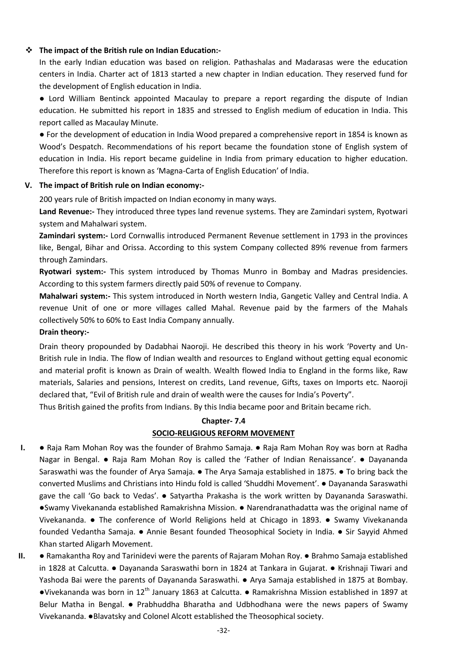## **The impact of the British rule on Indian Education:-**

In the early Indian education was based on religion. Pathashalas and Madarasas were the education centers in India. Charter act of 1813 started a new chapter in Indian education. They reserved fund for the development of English education in India.

● Lord William Bentinck appointed Macaulay to prepare a report regarding the dispute of Indian education. He submitted his report in 1835 and stressed to English medium of education in India. This report called as Macaulay Minute.

● For the development of education in India Wood prepared a comprehensive report in 1854 is known as Wood's Despatch. Recommendations of his report became the foundation stone of English system of education in India. His report became guideline in India from primary education to higher education. Therefore this report is known as 'Magna-Carta of English Education' of India.

## **V. The impact of British rule on Indian economy:-**

200 years rule of British impacted on Indian economy in many ways.

**Land Revenue:-** They introduced three types land revenue systems. They are Zamindari system, Ryotwari system and Mahalwari system.

**Zamindari system:-** Lord Cornwallis introduced Permanent Revenue settlement in 1793 in the provinces like, Bengal, Bihar and Orissa. According to this system Company collected 89% revenue from farmers through Zamindars.

**Ryotwari system:-** This system introduced by Thomas Munro in Bombay and Madras presidencies. According to this system farmers directly paid 50% of revenue to Company.

**Mahalwari system:-** This system introduced in North western India, Gangetic Valley and Central India. A revenue Unit of one or more villages called Mahal. Revenue paid by the farmers of the Mahals collectively 50% to 60% to East India Company annually.

## **Drain theory:-**

Drain theory propounded by Dadabhai Naoroji. He described this theory in his work 'Poverty and Un-British rule in India. The flow of Indian wealth and resources to England without getting equal economic and material profit is known as Drain of wealth. Wealth flowed India to England in the forms like, Raw materials, Salaries and pensions, Interest on credits, Land revenue, Gifts, taxes on Imports etc. Naoroji declared that, "Evil of British rule and drain of wealth were the causes for India's Poverty".

Thus British gained the profits from Indians. By this India became poor and Britain became rich.

## **Chapter- 7.4 SOCIO-RELIGIOUS REFORM MOVEMENT**

- **I.** Raja Ram Mohan Roy was the founder of Brahmo Samaja. Raja Ram Mohan Roy was born at Radha Nagar in Bengal. ● Raja Ram Mohan Roy is called the 'Father of Indian Renaissance'. ● Dayananda Saraswathi was the founder of Arya Samaja. ● The Arya Samaja established in 1875. ● To bring back the converted Muslims and Christians into Hindu fold is called 'Shuddhi Movement'. ● Dayananda Saraswathi gave the call 'Go back to Vedas'. ● Satyartha Prakasha is the work written by Dayananda Saraswathi. ●Swamy Vivekananda established Ramakrishna Mission. ● Narendranathadatta was the original name of Vivekananda. ● The conference of World Religions held at Chicago in 1893. ● Swamy Vivekananda founded Vedantha Samaja. ● Annie Besant founded Theosophical Society in India. ● Sir Sayyid Ahmed Khan started Aligarh Movement.
- **II.** Ramakantha Roy and Tarinidevi were the parents of Rajaram Mohan Roy. Brahmo Samaja established in 1828 at Calcutta. ● Dayananda Saraswathi born in 1824 at Tankara in Gujarat. ● Krishnaji Tiwari and Yashoda Bai were the parents of Dayananda Saraswathi. ● Arya Samaja established in 1875 at Bombay. ●Vivekananda was born in 12th January 1863 at Calcutta. ● Ramakrishna Mission established in 1897 at Belur Matha in Bengal. ● Prabhuddha Bharatha and Udbhodhana were the news papers of Swamy Vivekananda. ●Blavatsky and Colonel Alcott established the Theosophical society.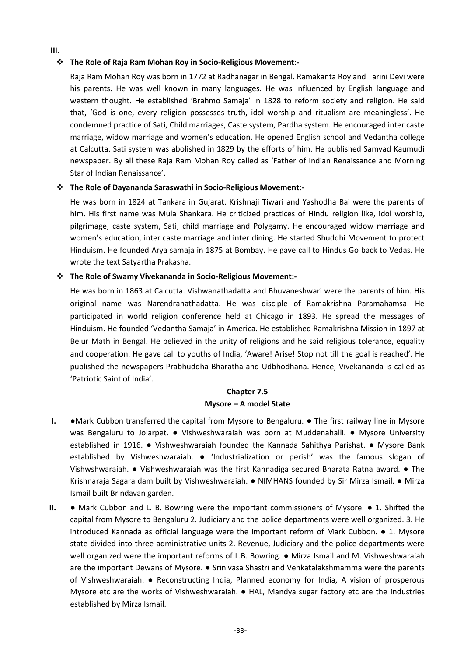## **The Role of Raja Ram Mohan Roy in Socio-Religious Movement:-**

**III.**

Raja Ram Mohan Roy was born in 1772 at Radhanagar in Bengal. Ramakanta Roy and Tarini Devi were his parents. He was well known in many languages. He was influenced by English language and western thought. He established 'Brahmo Samaja' in 1828 to reform society and religion. He said that, 'God is one, every religion possesses truth, idol worship and ritualism are meaningless'. He condemned practice of Sati, Child marriages, Caste system, Pardha system. He encouraged inter caste marriage, widow marriage and women's education. He opened English school and Vedantha college at Calcutta. Sati system was abolished in 1829 by the efforts of him. He published Samvad Kaumudi newspaper. By all these Raja Ram Mohan Roy called as 'Father of Indian Renaissance and Morning Star of Indian Renaissance'.

## **The Role of Dayananda Saraswathi in Socio-Religious Movement:-**

He was born in 1824 at Tankara in Gujarat. Krishnaji Tiwari and Yashodha Bai were the parents of him. His first name was Mula Shankara. He criticized practices of Hindu religion like, idol worship, pilgrimage, caste system, Sati, child marriage and Polygamy. He encouraged widow marriage and women's education, inter caste marriage and inter dining. He started Shuddhi Movement to protect Hinduism. He founded Arya samaja in 1875 at Bombay. He gave call to Hindus Go back to Vedas. He wrote the text Satyartha Prakasha.

## **The Role of Swamy Vivekananda in Socio-Religious Movement:-**

He was born in 1863 at Calcutta. Vishwanathadatta and Bhuvaneshwari were the parents of him. His original name was Narendranathadatta. He was disciple of Ramakrishna Paramahamsa. He participated in world religion conference held at Chicago in 1893. He spread the messages of Hinduism. He founded 'Vedantha Samaja' in America. He established Ramakrishna Mission in 1897 at Belur Math in Bengal. He believed in the unity of religions and he said religious tolerance, equality and cooperation. He gave call to youths of India, 'Aware! Arise! Stop not till the goal is reached'. He published the newspapers Prabhuddha Bharatha and Udbhodhana. Hence, Vivekananda is called as 'Patriotic Saint of India'.

## **Chapter 7.5 Mysore – A model State**

- **I.** ●Mark Cubbon transferred the capital from Mysore to Bengaluru. The first railway line in Mysore was Bengaluru to Jolarpet. ● Vishweshwaraiah was born at Muddenahalli. ● Mysore University established in 1916. ● Vishweshwaraiah founded the Kannada Sahithya Parishat. ● Mysore Bank established by Vishweshwaraiah. ● 'Industrialization or perish' was the famous slogan of Vishwshwaraiah. ● Vishweshwaraiah was the first Kannadiga secured Bharata Ratna award. ● The Krishnaraja Sagara dam built by Vishweshwaraiah. ● NIMHANS founded by Sir Mirza Ismail. ● Mirza Ismail built Brindavan garden.
- **II.** Mark Cubbon and L. B. Bowring were the important commissioners of Mysore. 1. Shifted the capital from Mysore to Bengaluru 2. Judiciary and the police departments were well organized. 3. He introduced Kannada as official language were the important reform of Mark Cubbon. ● 1. Mysore state divided into three administrative units 2. Revenue, Judiciary and the police departments were well organized were the important reforms of L.B. Bowring. ● Mirza Ismail and M. Vishweshwaraiah are the important Dewans of Mysore. ● Srinivasa Shastri and Venkatalakshmamma were the parents of Vishweshwaraiah. ● Reconstructing India, Planned economy for India, A vision of prosperous Mysore etc are the works of Vishweshwaraiah. ● HAL, Mandya sugar factory etc are the industries established by Mirza Ismail.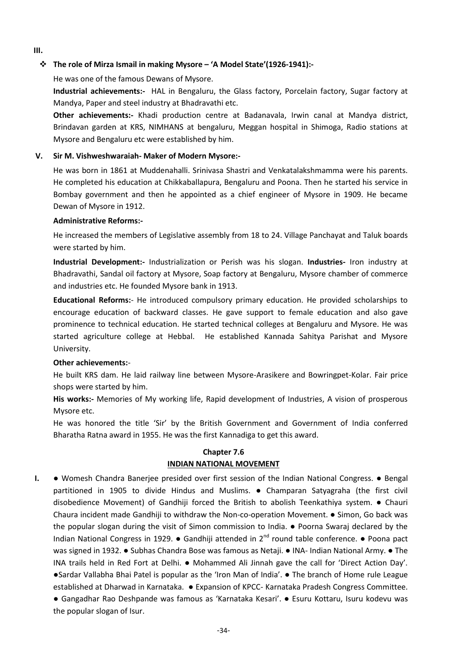## **III.**

## **The role of Mirza Ismail in making Mysore – 'A Model State'(1926-1941):-**

He was one of the famous Dewans of Mysore.

**Industrial achievements:-** HAL in Bengaluru, the Glass factory, Porcelain factory, Sugar factory at Mandya, Paper and steel industry at Bhadravathi etc.

**Other achievements:-** Khadi production centre at Badanavala, Irwin canal at Mandya district, Brindavan garden at KRS, NIMHANS at bengaluru, Meggan hospital in Shimoga, Radio stations at Mysore and Bengaluru etc were established by him.

## **V. Sir M. Vishweshwaraiah- Maker of Modern Mysore:-**

He was born in 1861 at Muddenahalli. Srinivasa Shastri and Venkatalakshmamma were his parents. He completed his education at Chikkaballapura, Bengaluru and Poona. Then he started his service in Bombay government and then he appointed as a chief engineer of Mysore in 1909. He became Dewan of Mysore in 1912.

## **Administrative Reforms:-**

He increased the members of Legislative assembly from 18 to 24. Village Panchayat and Taluk boards were started by him.

**Industrial Development:-** Industrialization or Perish was his slogan. **Industries-** Iron industry at Bhadravathi, Sandal oil factory at Mysore, Soap factory at Bengaluru, Mysore chamber of commerce and industries etc. He founded Mysore bank in 1913.

**Educational Reforms:**- He introduced compulsory primary education. He provided scholarships to encourage education of backward classes. He gave support to female education and also gave prominence to technical education. He started technical colleges at Bengaluru and Mysore. He was started agriculture college at Hebbal. He established Kannada Sahitya Parishat and Mysore University.

## **Other achievements:**-

He built KRS dam. He laid railway line between Mysore-Arasikere and Bowringpet-Kolar. Fair price shops were started by him.

**His works:-** Memories of My working life, Rapid development of Industries, A vision of prosperous Mysore etc.

He was honored the title 'Sir' by the British Government and Government of India conferred Bharatha Ratna award in 1955. He was the first Kannadiga to get this award.

## **Chapter 7.6**

## **INDIAN NATIONAL MOVEMENT**

**I.** ● Womesh Chandra Banerjee presided over first session of the Indian National Congress. ● Bengal partitioned in 1905 to divide Hindus and Muslims. ● Champaran Satyagraha (the first civil disobedience Movement) of Gandhiji forced the British to abolish Teenkathiya system. ● Chauri Chaura incident made Gandhiji to withdraw the Non-co-operation Movement. ● Simon, Go back was the popular slogan during the visit of Simon commission to India. ● Poorna Swaraj declared by the Indian National Congress in 1929.  $\bullet$  Gandhiji attended in 2<sup>nd</sup> round table conference.  $\bullet$  Poona pact was signed in 1932. ● Subhas Chandra Bose was famous as Netaji. ● INA- Indian National Army. ● The INA trails held in Red Fort at Delhi. ● Mohammed Ali Jinnah gave the call for 'Direct Action Day'. ●Sardar Vallabha Bhai Patel is popular as the 'Iron Man of India'. ● The branch of Home rule League established at Dharwad in Karnataka. ● Expansion of KPCC- Karnataka Pradesh Congress Committee. ● Gangadhar Rao Deshpande was famous as 'Karnataka Kesari'. ● Esuru Kottaru, Isuru kodevu was the popular slogan of Isur.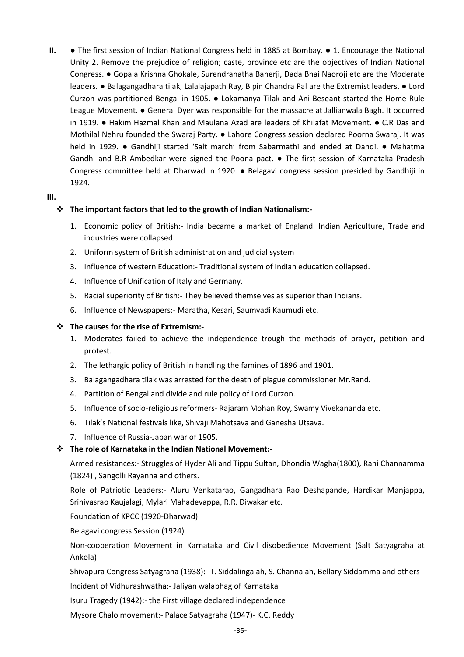**II.** ● The first session of Indian National Congress held in 1885 at Bombay. ● 1. Encourage the National Unity 2. Remove the prejudice of religion; caste, province etc are the objectives of Indian National Congress. ● Gopala Krishna Ghokale, Surendranatha Banerji, Dada Bhai Naoroji etc are the Moderate leaders. ● Balagangadhara tilak, Lalalajapath Ray, Bipin Chandra Pal are the Extremist leaders. ● Lord Curzon was partitioned Bengal in 1905. ● Lokamanya Tilak and Ani Beseant started the Home Rule League Movement. ● General Dyer was responsible for the massacre at Jallianwala Bagh. It occurred in 1919. ● Hakim Hazmal Khan and Maulana Azad are leaders of Khilafat Movement. ● C.R Das and Mothilal Nehru founded the Swaraj Party. ● Lahore Congress session declared Poorna Swaraj. It was held in 1929. ● Gandhiji started 'Salt march' from Sabarmathi and ended at Dandi. ● Mahatma Gandhi and B.R Ambedkar were signed the Poona pact. ● The first session of Karnataka Pradesh Congress committee held at Dharwad in 1920. ● Belagavi congress session presided by Gandhiji in 1924.

## **III.**

## **The important factors that led to the growth of Indian Nationalism:-**

- 1. Economic policy of British:- India became a market of England. Indian Agriculture, Trade and industries were collapsed.
- 2. Uniform system of British administration and judicial system
- 3. Influence of western Education:- Traditional system of Indian education collapsed.
- 4. Influence of Unification of Italy and Germany.
- 5. Racial superiority of British:- They believed themselves as superior than Indians.
- 6. Influence of Newspapers:- Maratha, Kesari, Saumvadi Kaumudi etc.

## **The causes for the rise of Extremism:-**

- 1. Moderates failed to achieve the independence trough the methods of prayer, petition and protest.
- 2. The lethargic policy of British in handling the famines of 1896 and 1901.
- 3. Balagangadhara tilak was arrested for the death of plague commissioner Mr.Rand.
- 4. Partition of Bengal and divide and rule policy of Lord Curzon.
- 5. Influence of socio-religious reformers- Rajaram Mohan Roy, Swamy Vivekananda etc.
- 6. Tilak's National festivals like, Shivaji Mahotsava and Ganesha Utsava.
- 7. Influence of Russia-Japan war of 1905.

## **The role of Karnataka in the Indian National Movement:-**

Armed resistances:- Struggles of Hyder Ali and Tippu Sultan, Dhondia Wagha(1800), Rani Channamma (1824) , Sangolli Rayanna and others.

Role of Patriotic Leaders:- Aluru Venkatarao, Gangadhara Rao Deshapande, Hardikar Manjappa, Srinivasrao Kaujalagi, Mylari Mahadevappa, R.R. Diwakar etc.

Foundation of KPCC (1920-Dharwad)

Belagavi congress Session (1924)

Non-cooperation Movement in Karnataka and Civil disobedience Movement (Salt Satyagraha at Ankola)

Shivapura Congress Satyagraha (1938):- T. Siddalingaiah, S. Channaiah, Bellary Siddamma and others

Incident of Vidhurashwatha:- Jaliyan walabhag of Karnataka

Isuru Tragedy (1942):- the First village declared independence

Mysore Chalo movement:- Palace Satyagraha (1947)- K.C. Reddy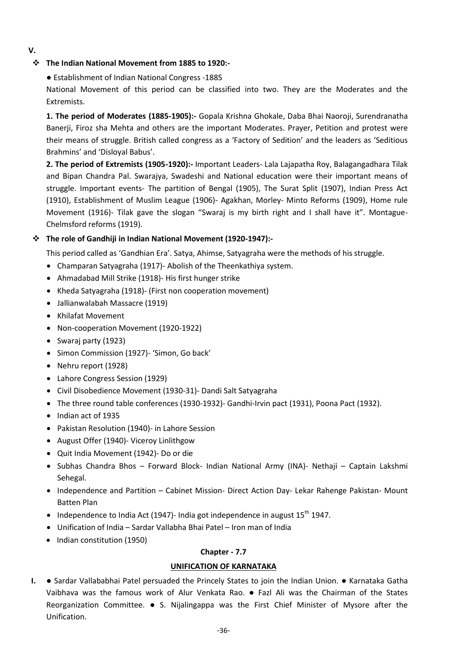**V.**

## **The Indian National Movement from 1885 to 1920:-**

● Establishment of Indian National Congress -1885

National Movement of this period can be classified into two. They are the Moderates and the Extremists.

**1. The period of Moderates (1885-1905):-** Gopala Krishna Ghokale, Daba Bhai Naoroji, Surendranatha Banerji, Firoz sha Mehta and others are the important Moderates. Prayer, Petition and protest were their means of struggle. British called congress as a 'Factory of Sedition' and the leaders as 'Seditious Brahmins' and 'Disloyal Babus'.

**2. The period of Extremists (1905-1920):-** Important Leaders- Lala Lajapatha Roy, Balagangadhara Tilak and Bipan Chandra Pal. Swarajya, Swadeshi and National education were their important means of struggle. Important events- The partition of Bengal (1905), The Surat Split (1907), Indian Press Act (1910), Establishment of Muslim League (1906)- Agakhan, Morley- Minto Reforms (1909), Home rule Movement (1916)- Tilak gave the slogan "Swaraj is my birth right and I shall have it". Montague-Chelmsford reforms (1919).

## **The role of Gandhiji in Indian National Movement (1920-1947):-**

This period called as 'Gandhian Era'. Satya, Ahimse, Satyagraha were the methods of his struggle.

- Champaran Satyagraha (1917)- Abolish of the Theenkathiya system.
- Ahmadabad Mill Strike (1918)- His first hunger strike
- Kheda Satyagraha (1918)- (First non cooperation movement)
- Jallianwalabah Massacre (1919)
- Khilafat Movement
- Non-cooperation Movement (1920-1922)
- Swaraj party (1923)
- Simon Commission (1927)- 'Simon, Go back'
- Nehru report (1928)
- Lahore Congress Session (1929)
- Civil Disobedience Movement (1930-31)- Dandi Salt Satyagraha
- The three round table conferences (1930-1932)- Gandhi-Irvin pact (1931), Poona Pact (1932).
- Indian act of 1935
- Pakistan Resolution (1940)- in Lahore Session
- August Offer (1940)- Viceroy Linlithgow
- Quit India Movement (1942)- Do or die
- Subhas Chandra Bhos Forward Block- Indian National Army (INA)- Nethaji Captain Lakshmi Sehegal.
- Independence and Partition Cabinet Mission- Direct Action Day- Lekar Rahenge Pakistan- Mount Batten Plan
- Independence to India Act (1947)- India got independence in august  $15^{th}$  1947.
- Unification of India Sardar Vallabha Bhai Patel Iron man of India
- Indian constitution (1950)

## **Chapter - 7.7**

## **UNIFICATION OF KARNATAKA**

**I.** ● Sardar Vallababhai Patel persuaded the Princely States to join the Indian Union. ● Karnataka Gatha Vaibhava was the famous work of Alur Venkata Rao. ● Fazl Ali was the Chairman of the States Reorganization Committee. ● S. Nijalingappa was the First Chief Minister of Mysore after the Unification.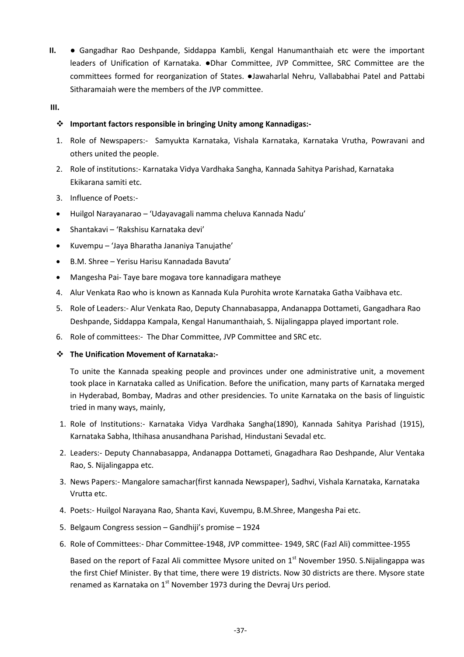- **II.** Gangadhar Rao Deshpande, Siddappa Kambli, Kengal Hanumanthaiah etc were the important leaders of Unification of Karnataka. ●Dhar Committee, JVP Committee, SRC Committee are the committees formed for reorganization of States. ●Jawaharlal Nehru, Vallababhai Patel and Pattabi Sitharamaiah were the members of the JVP committee.
- **III.**

## **Important factors responsible in bringing Unity among Kannadigas:-**

- 1. Role of Newspapers:- Samyukta Karnataka, Vishala Karnataka, Karnataka Vrutha, Powravani and others united the people.
- 2. Role of institutions:- Karnataka Vidya Vardhaka Sangha, Kannada Sahitya Parishad, Karnataka Ekikarana samiti etc.
- 3. Influence of Poets:-
- Huilgol Narayanarao 'Udayavagali namma cheluva Kannada Nadu'
- Shantakavi 'Rakshisu Karnataka devi'
- Kuvempu 'Jaya Bharatha Jananiya Tanujathe'
- B.M. Shree Yerisu Harisu Kannadada Bavuta'
- Mangesha Pai- Taye bare mogava tore kannadigara matheye
- 4. Alur Venkata Rao who is known as Kannada Kula Purohita wrote Karnataka Gatha Vaibhava etc.
- 5. Role of Leaders:- Alur Venkata Rao, Deputy Channabasappa, Andanappa Dottameti, Gangadhara Rao Deshpande, Siddappa Kampala, Kengal Hanumanthaiah, S. Nijalingappa played important role.
- 6. Role of committees:- The Dhar Committee, JVP Committee and SRC etc.
- **The Unification Movement of Karnataka:-**

To unite the Kannada speaking people and provinces under one administrative unit, a movement took place in Karnataka called as Unification. Before the unification, many parts of Karnataka merged in Hyderabad, Bombay, Madras and other presidencies. To unite Karnataka on the basis of linguistic tried in many ways, mainly,

- 1. Role of Institutions:- Karnataka Vidya Vardhaka Sangha(1890), Kannada Sahitya Parishad (1915), Karnataka Sabha, Ithihasa anusandhana Parishad, Hindustani Sevadal etc.
- 2. Leaders:- Deputy Channabasappa, Andanappa Dottameti, Gnagadhara Rao Deshpande, Alur Ventaka Rao, S. Nijalingappa etc.
- 3. News Papers:- Mangalore samachar(first kannada Newspaper), Sadhvi, Vishala Karnataka, Karnataka Vrutta etc.
- 4. Poets:- Huilgol Narayana Rao, Shanta Kavi, Kuvempu, B.M.Shree, Mangesha Pai etc.
- 5. Belgaum Congress session Gandhiji's promise 1924
- 6. Role of Committees:- Dhar Committee-1948, JVP committee- 1949, SRC (Fazl Ali) committee-1955

Based on the report of Fazal Ali committee Mysore united on  $1<sup>st</sup>$  November 1950. S.Nijalingappa was the first Chief Minister. By that time, there were 19 districts. Now 30 districts are there. Mysore state renamed as Karnataka on  $1<sup>st</sup>$  November 1973 during the Devraj Urs period.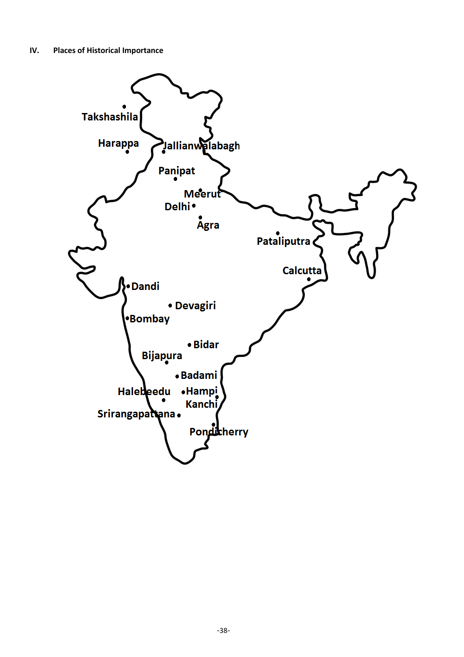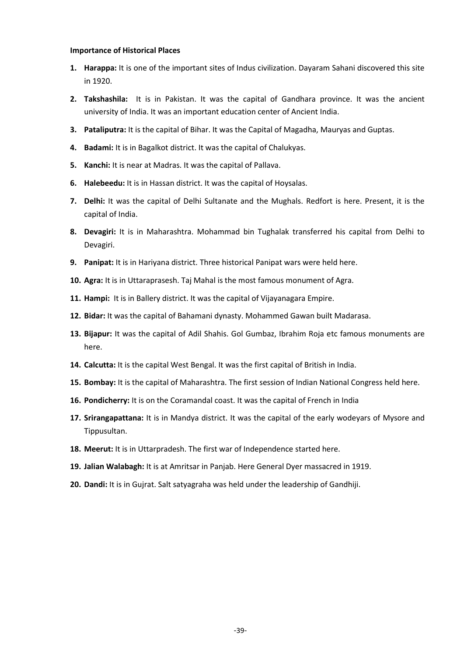#### **Importance of Historical Places**

- **1. Harappa:** It is one of the important sites of Indus civilization. Dayaram Sahani discovered this site in 1920.
- **2. Takshashila:** It is in Pakistan. It was the capital of Gandhara province. It was the ancient university of India. It was an important education center of Ancient India.
- **3. Pataliputra:** It is the capital of Bihar. It was the Capital of Magadha, Mauryas and Guptas.
- **4. Badami:** It is in Bagalkot district. It was the capital of Chalukyas.
- **5. Kanchi:** It is near at Madras. It was the capital of Pallava.
- **6. Halebeedu:** It is in Hassan district. It was the capital of Hoysalas.
- **7. Delhi:** It was the capital of Delhi Sultanate and the Mughals. Redfort is here. Present, it is the capital of India.
- **8. Devagiri:** It is in Maharashtra. Mohammad bin Tughalak transferred his capital from Delhi to Devagiri.
- **9. Panipat:** It is in Hariyana district. Three historical Panipat wars were held here.
- **10. Agra:** It is in Uttaraprasesh. Taj Mahal is the most famous monument of Agra.
- **11. Hampi:** It is in Ballery district. It was the capital of Vijayanagara Empire.
- **12. Bidar:** It was the capital of Bahamani dynasty. Mohammed Gawan built Madarasa.
- **13. Bijapur:** It was the capital of Adil Shahis. Gol Gumbaz, Ibrahim Roja etc famous monuments are here.
- **14. Calcutta:** It is the capital West Bengal. It was the first capital of British in India.
- **15. Bombay:** It is the capital of Maharashtra. The first session of Indian National Congress held here.
- **16. Pondicherry:** It is on the Coramandal coast. It was the capital of French in India
- **17. Srirangapattana:** It is in Mandya district. It was the capital of the early wodeyars of Mysore and Tippusultan.
- **18. Meerut:** It is in Uttarpradesh. The first war of Independence started here.
- **19. Jalian Walabagh:** It is at Amritsar in Panjab. Here General Dyer massacred in 1919.
- **20. Dandi:** It is in Gujrat. Salt satyagraha was held under the leadership of Gandhiji.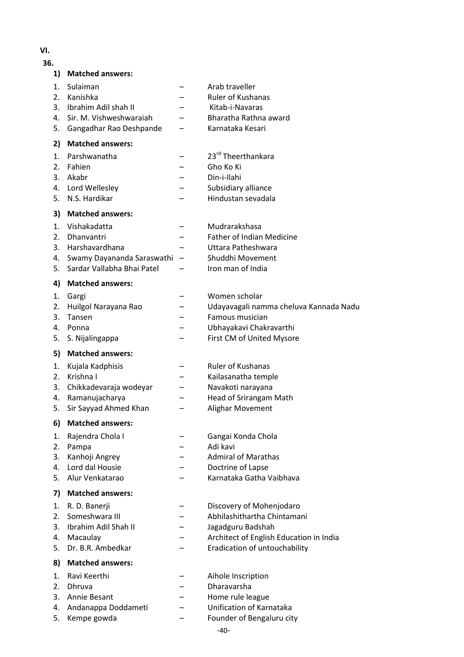## **VI.**

#### **36.**

| 1)       | <b>Matched answers:</b>       |                                            |
|----------|-------------------------------|--------------------------------------------|
| 1.<br>2. | Sulaiman<br>Kanishka          | Arab traveller<br><b>Ruler of Kushanas</b> |
| 3.       | Ibrahim Adil shah II          | Kitab-i-Navaras                            |
|          | Sir. M. Vishweshwaraiah       | Bharatha Rathna award                      |
| 4.       |                               |                                            |
| 5.       | Gangadhar Rao Deshpande       | Karnataka Kesari                           |
| 2)       | <b>Matched answers:</b>       |                                            |
| 1.       | Parshwanatha                  | 23rd Theerthankara                         |
| 2.       | Fahien                        | Gho Ko Ki                                  |
| 3.       | Akabr                         | Din-i-Ilahi                                |
|          | 4. Lord Wellesley             | Subsidiary alliance                        |
| 5.       | N.S. Hardikar                 | Hindustan sevadala                         |
| 3)       | <b>Matched answers:</b>       |                                            |
| 1.       | Vishakadatta                  | Mudrarakshasa                              |
| 2.       | <b>Dhanvantri</b>             | <b>Father of Indian Medicine</b>           |
| 3.       | Harshavardhana                | Uttara Patheshwara                         |
| 4.       | Swamy Dayananda Saraswathi    | Shuddhi Movement                           |
| 5.       | Sardar Vallabha Bhai Patel    | Iron man of India                          |
| 4)       | <b>Matched answers:</b>       |                                            |
| 1.       | Gargi                         | Women scholar                              |
| 2.       | Huilgol Narayana Rao          | Udayavagali namma cheluva Kannada Nadu     |
| 3.       | Tansen                        | Famous musician                            |
| 4.       | Ponna                         | Ubhayakavi Chakravarthi                    |
| 5.       | S. Nijalingappa               | First CM of United Mysore                  |
| 5)       | <b>Matched answers:</b>       |                                            |
| 1.       | Kujala Kadphisis              | <b>Ruler of Kushanas</b>                   |
| 2.       | Krishna I                     | Kailasanatha temple                        |
| 3.       | Chikkadevaraja wodeyar        | Navakoti narayana                          |
| 4.       | Ramanujacharya                | Head of Srirangam Math                     |
| 5.       | Sir Sayyad Ahmed Khan         | Alighar Movement                           |
| 6)       | <b>Matched answers:</b>       |                                            |
| 1.       | Rajendra Chola I              | Gangai Konda Chola                         |
| 2.       | Pampa                         | Adi kavi                                   |
| 3.       | Kanhoji Angrey                | <b>Admiral of Marathas</b>                 |
| 4.       | Lord dal Housie               | Doctrine of Lapse                          |
| 5.       | Alur Venkatarao               | Karnataka Gatha Vaibhava                   |
| 7)       | <b>Matched answers:</b>       |                                            |
| 1.       | R. D. Banerji                 | Discovery of Mohenjodaro                   |
| 2.       | Someshwara III                | Abhilashithartha Chintamani                |
| 3.       | Ibrahim Adil Shah II          | Jagadguru Badshah                          |
| 4.       |                               | Architect of English Education in India    |
| 5.       | Macaulay<br>Dr. B.R. Ambedkar | Eradication of untouchability              |
|          |                               |                                            |
| 8)       | <b>Matched answers:</b>       |                                            |
| 1.       | Ravi Keerthi                  | Aihole Inscription                         |
| 2.       | Dhruva                        | Dharavarsha                                |
| 3.       | Annie Besant                  | Home rule league                           |

- 4. Andanappa Doddameti Unification of Karnataka
- 5. Kempe gowda Founder of Bengaluru city